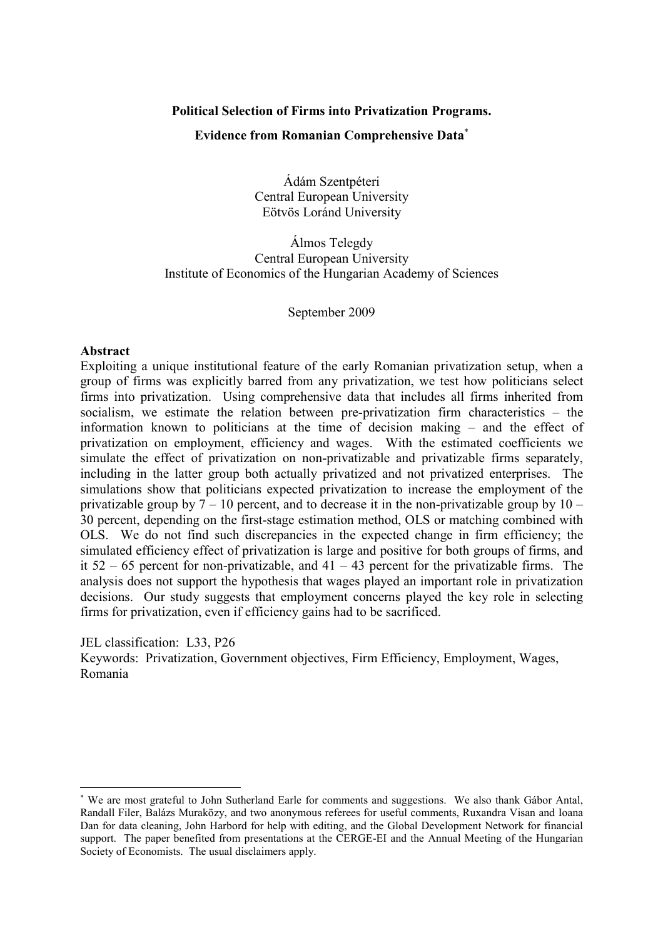### Political Selection of Firms into Privatization Programs.

## Evidence from Romanian Comprehensive Data<sup>∗</sup>

Ádám Szentpéteri Central European University Eötvös Loránd University

Álmos Telegdy Central European University Institute of Economics of the Hungarian Academy of Sciences

September 2009

## Abstract

Exploiting a unique institutional feature of the early Romanian privatization setup, when a group of firms was explicitly barred from any privatization, we test how politicians select firms into privatization. Using comprehensive data that includes all firms inherited from socialism, we estimate the relation between pre-privatization firm characteristics – the information known to politicians at the time of decision making – and the effect of privatization on employment, efficiency and wages. With the estimated coefficients we simulate the effect of privatization on non-privatizable and privatizable firms separately, including in the latter group both actually privatized and not privatized enterprises. The simulations show that politicians expected privatization to increase the employment of the privatizable group by  $7 - 10$  percent, and to decrease it in the non-privatizable group by  $10 -$ 30 percent, depending on the first-stage estimation method, OLS or matching combined with OLS. We do not find such discrepancies in the expected change in firm efficiency; the simulated efficiency effect of privatization is large and positive for both groups of firms, and it  $52 - 65$  percent for non-privatizable, and  $41 - 43$  percent for the privatizable firms. The analysis does not support the hypothesis that wages played an important role in privatization decisions. Our study suggests that employment concerns played the key role in selecting firms for privatization, even if efficiency gains had to be sacrificed.

JEL classification: L33, P26

 $\overline{a}$ 

Keywords: Privatization, Government objectives, Firm Efficiency, Employment, Wages, Romania

<sup>∗</sup> We are most grateful to John Sutherland Earle for comments and suggestions. We also thank Gábor Antal, Randall Filer, Balázs Muraközy, and two anonymous referees for useful comments, Ruxandra Visan and Ioana Dan for data cleaning, John Harbord for help with editing, and the Global Development Network for financial support. The paper benefited from presentations at the CERGE-EI and the Annual Meeting of the Hungarian Society of Economists. The usual disclaimers apply.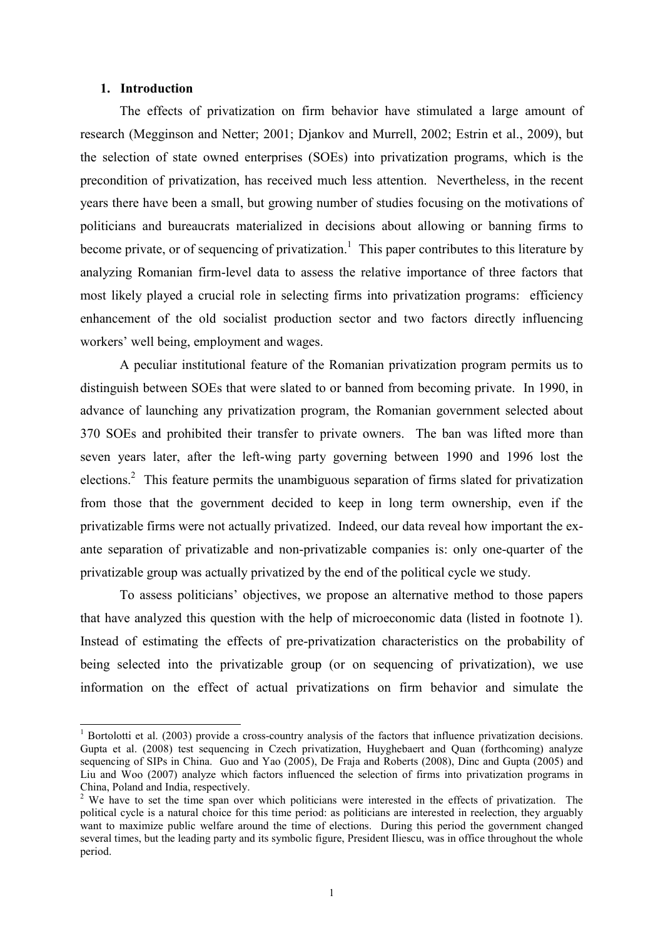#### 1. Introduction

The effects of privatization on firm behavior have stimulated a large amount of research (Megginson and Netter; 2001; Djankov and Murrell, 2002; Estrin et al., 2009), but the selection of state owned enterprises (SOEs) into privatization programs, which is the precondition of privatization, has received much less attention. Nevertheless, in the recent years there have been a small, but growing number of studies focusing on the motivations of politicians and bureaucrats materialized in decisions about allowing or banning firms to become private, or of sequencing of privatization.<sup>1</sup> This paper contributes to this literature by analyzing Romanian firm-level data to assess the relative importance of three factors that most likely played a crucial role in selecting firms into privatization programs: efficiency enhancement of the old socialist production sector and two factors directly influencing workers' well being, employment and wages.

A peculiar institutional feature of the Romanian privatization program permits us to distinguish between SOEs that were slated to or banned from becoming private. In 1990, in advance of launching any privatization program, the Romanian government selected about 370 SOEs and prohibited their transfer to private owners. The ban was lifted more than seven years later, after the left-wing party governing between 1990 and 1996 lost the elections.<sup>2</sup> This feature permits the unambiguous separation of firms slated for privatization from those that the government decided to keep in long term ownership, even if the privatizable firms were not actually privatized. Indeed, our data reveal how important the exante separation of privatizable and non-privatizable companies is: only one-quarter of the privatizable group was actually privatized by the end of the political cycle we study.

To assess politicians' objectives, we propose an alternative method to those papers that have analyzed this question with the help of microeconomic data (listed in footnote 1). Instead of estimating the effects of pre-privatization characteristics on the probability of being selected into the privatizable group (or on sequencing of privatization), we use information on the effect of actual privatizations on firm behavior and simulate the

<sup>&</sup>lt;sup>1</sup> Bortolotti et al. (2003) provide a cross-country analysis of the factors that influence privatization decisions. Gupta et al. (2008) test sequencing in Czech privatization, Huyghebaert and Quan (forthcoming) analyze sequencing of SIPs in China. Guo and Yao (2005), De Fraja and Roberts (2008), Dinc and Gupta (2005) and Liu and Woo (2007) analyze which factors influenced the selection of firms into privatization programs in China, Poland and India, respectively.

<sup>&</sup>lt;sup>2</sup> We have to set the time span over which politicians were interested in the effects of privatization. The political cycle is a natural choice for this time period: as politicians are interested in reelection, they arguably want to maximize public welfare around the time of elections. During this period the government changed several times, but the leading party and its symbolic figure, President Iliescu, was in office throughout the whole period.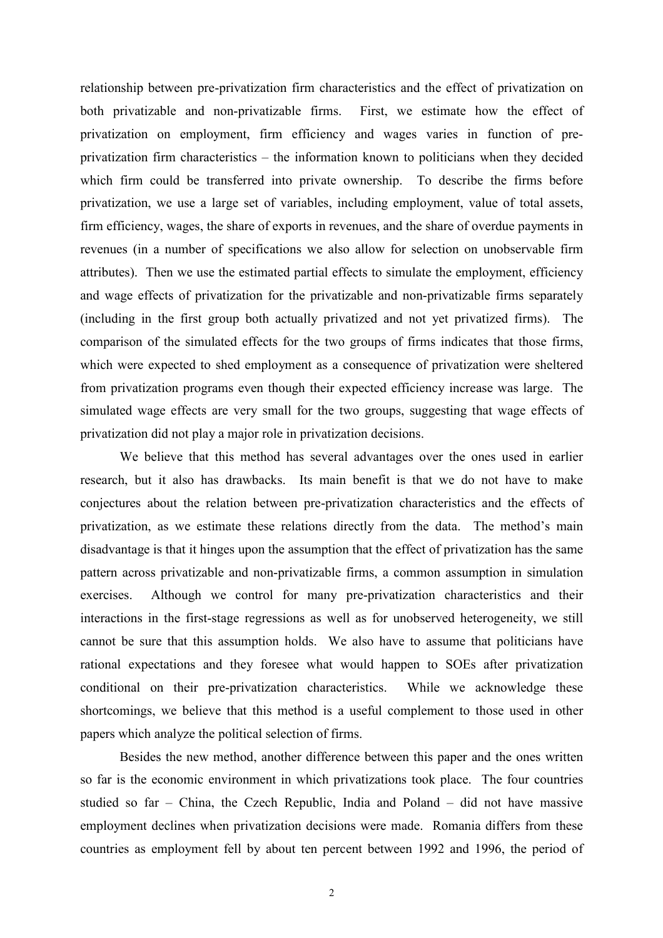relationship between pre-privatization firm characteristics and the effect of privatization on both privatizable and non-privatizable firms. First, we estimate how the effect of privatization on employment, firm efficiency and wages varies in function of preprivatization firm characteristics – the information known to politicians when they decided which firm could be transferred into private ownership. To describe the firms before privatization, we use a large set of variables, including employment, value of total assets, firm efficiency, wages, the share of exports in revenues, and the share of overdue payments in revenues (in a number of specifications we also allow for selection on unobservable firm attributes). Then we use the estimated partial effects to simulate the employment, efficiency and wage effects of privatization for the privatizable and non-privatizable firms separately (including in the first group both actually privatized and not yet privatized firms). The comparison of the simulated effects for the two groups of firms indicates that those firms, which were expected to shed employment as a consequence of privatization were sheltered from privatization programs even though their expected efficiency increase was large. The simulated wage effects are very small for the two groups, suggesting that wage effects of privatization did not play a major role in privatization decisions.

We believe that this method has several advantages over the ones used in earlier research, but it also has drawbacks. Its main benefit is that we do not have to make conjectures about the relation between pre-privatization characteristics and the effects of privatization, as we estimate these relations directly from the data. The method's main disadvantage is that it hinges upon the assumption that the effect of privatization has the same pattern across privatizable and non-privatizable firms, a common assumption in simulation exercises. Although we control for many pre-privatization characteristics and their interactions in the first-stage regressions as well as for unobserved heterogeneity, we still cannot be sure that this assumption holds. We also have to assume that politicians have rational expectations and they foresee what would happen to SOEs after privatization conditional on their pre-privatization characteristics. While we acknowledge these shortcomings, we believe that this method is a useful complement to those used in other papers which analyze the political selection of firms.

Besides the new method, another difference between this paper and the ones written so far is the economic environment in which privatizations took place. The four countries studied so far – China, the Czech Republic, India and Poland – did not have massive employment declines when privatization decisions were made. Romania differs from these countries as employment fell by about ten percent between 1992 and 1996, the period of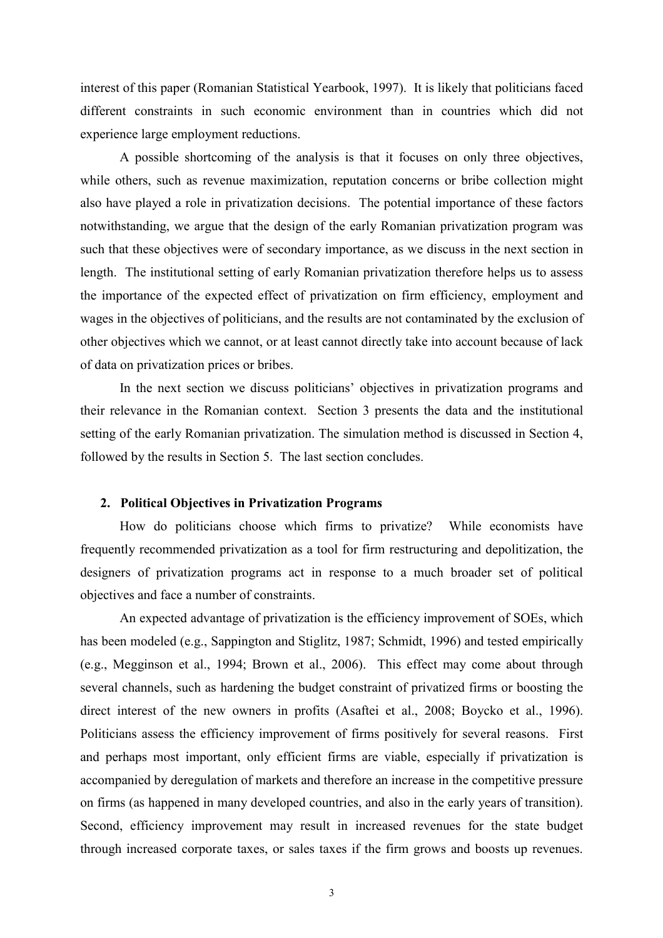interest of this paper (Romanian Statistical Yearbook, 1997). It is likely that politicians faced different constraints in such economic environment than in countries which did not experience large employment reductions.

A possible shortcoming of the analysis is that it focuses on only three objectives, while others, such as revenue maximization, reputation concerns or bribe collection might also have played a role in privatization decisions. The potential importance of these factors notwithstanding, we argue that the design of the early Romanian privatization program was such that these objectives were of secondary importance, as we discuss in the next section in length. The institutional setting of early Romanian privatization therefore helps us to assess the importance of the expected effect of privatization on firm efficiency, employment and wages in the objectives of politicians, and the results are not contaminated by the exclusion of other objectives which we cannot, or at least cannot directly take into account because of lack of data on privatization prices or bribes.

In the next section we discuss politicians' objectives in privatization programs and their relevance in the Romanian context. Section 3 presents the data and the institutional setting of the early Romanian privatization. The simulation method is discussed in Section 4, followed by the results in Section 5. The last section concludes.

#### 2. Political Objectives in Privatization Programs

How do politicians choose which firms to privatize? While economists have frequently recommended privatization as a tool for firm restructuring and depolitization, the designers of privatization programs act in response to a much broader set of political objectives and face a number of constraints.

An expected advantage of privatization is the efficiency improvement of SOEs, which has been modeled (e.g., Sappington and Stiglitz, 1987; Schmidt, 1996) and tested empirically (e.g., Megginson et al., 1994; Brown et al., 2006). This effect may come about through several channels, such as hardening the budget constraint of privatized firms or boosting the direct interest of the new owners in profits (Asaftei et al., 2008; Boycko et al., 1996). Politicians assess the efficiency improvement of firms positively for several reasons. First and perhaps most important, only efficient firms are viable, especially if privatization is accompanied by deregulation of markets and therefore an increase in the competitive pressure on firms (as happened in many developed countries, and also in the early years of transition). Second, efficiency improvement may result in increased revenues for the state budget through increased corporate taxes, or sales taxes if the firm grows and boosts up revenues.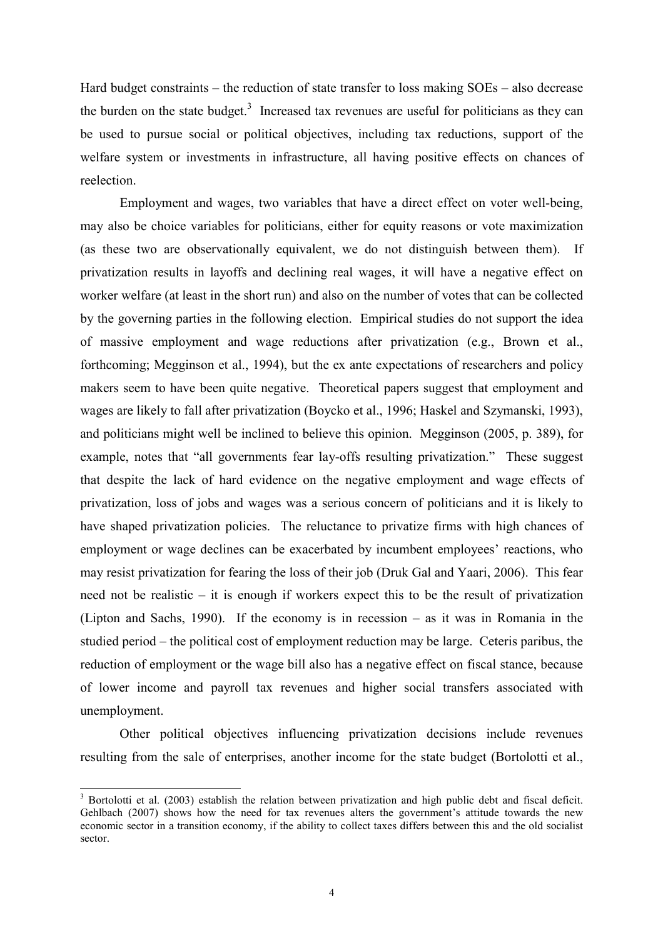Hard budget constraints – the reduction of state transfer to loss making SOEs – also decrease the burden on the state budget.<sup>3</sup> Increased tax revenues are useful for politicians as they can be used to pursue social or political objectives, including tax reductions, support of the welfare system or investments in infrastructure, all having positive effects on chances of reelection.

Employment and wages, two variables that have a direct effect on voter well-being, may also be choice variables for politicians, either for equity reasons or vote maximization (as these two are observationally equivalent, we do not distinguish between them). If privatization results in layoffs and declining real wages, it will have a negative effect on worker welfare (at least in the short run) and also on the number of votes that can be collected by the governing parties in the following election. Empirical studies do not support the idea of massive employment and wage reductions after privatization (e.g., Brown et al., forthcoming; Megginson et al., 1994), but the ex ante expectations of researchers and policy makers seem to have been quite negative. Theoretical papers suggest that employment and wages are likely to fall after privatization (Boycko et al., 1996; Haskel and Szymanski, 1993), and politicians might well be inclined to believe this opinion. Megginson (2005, p. 389), for example, notes that "all governments fear lay-offs resulting privatization." These suggest that despite the lack of hard evidence on the negative employment and wage effects of privatization, loss of jobs and wages was a serious concern of politicians and it is likely to have shaped privatization policies. The reluctance to privatize firms with high chances of employment or wage declines can be exacerbated by incumbent employees' reactions, who may resist privatization for fearing the loss of their job (Druk Gal and Yaari, 2006). This fear need not be realistic – it is enough if workers expect this to be the result of privatization (Lipton and Sachs, 1990). If the economy is in recession – as it was in Romania in the studied period – the political cost of employment reduction may be large. Ceteris paribus, the reduction of employment or the wage bill also has a negative effect on fiscal stance, because of lower income and payroll tax revenues and higher social transfers associated with unemployment.

Other political objectives influencing privatization decisions include revenues resulting from the sale of enterprises, another income for the state budget (Bortolotti et al.,

 $\overline{a}$ 

<sup>&</sup>lt;sup>3</sup> Bortolotti et al. (2003) establish the relation between privatization and high public debt and fiscal deficit. Gehlbach (2007) shows how the need for tax revenues alters the government's attitude towards the new economic sector in a transition economy, if the ability to collect taxes differs between this and the old socialist sector.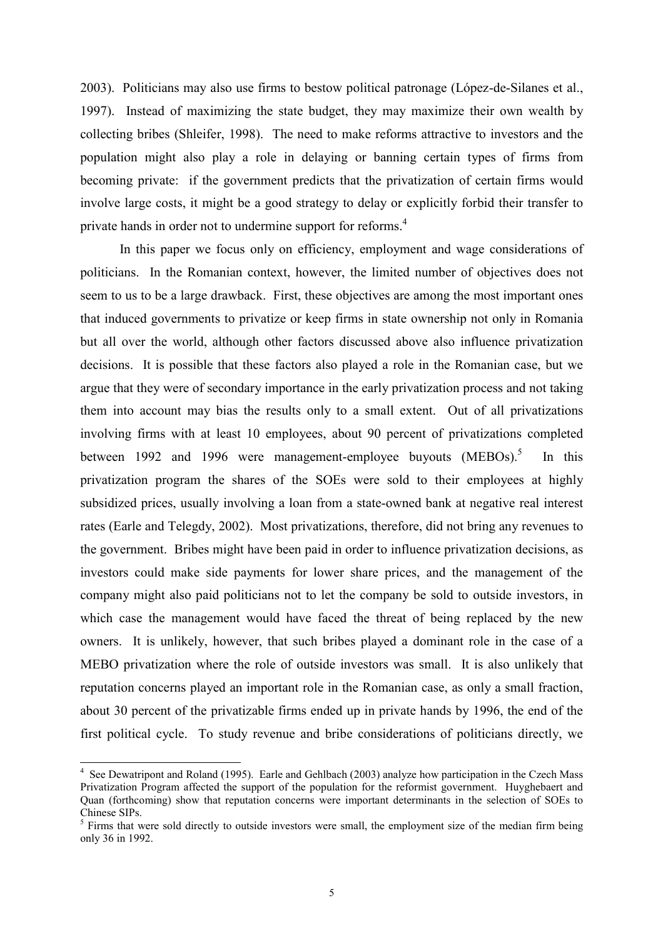2003). Politicians may also use firms to bestow political patronage (López-de-Silanes et al., 1997). Instead of maximizing the state budget, they may maximize their own wealth by collecting bribes (Shleifer, 1998). The need to make reforms attractive to investors and the population might also play a role in delaying or banning certain types of firms from becoming private: if the government predicts that the privatization of certain firms would involve large costs, it might be a good strategy to delay or explicitly forbid their transfer to private hands in order not to undermine support for reforms.<sup>4</sup>

In this paper we focus only on efficiency, employment and wage considerations of politicians. In the Romanian context, however, the limited number of objectives does not seem to us to be a large drawback. First, these objectives are among the most important ones that induced governments to privatize or keep firms in state ownership not only in Romania but all over the world, although other factors discussed above also influence privatization decisions. It is possible that these factors also played a role in the Romanian case, but we argue that they were of secondary importance in the early privatization process and not taking them into account may bias the results only to a small extent. Out of all privatizations involving firms with at least 10 employees, about 90 percent of privatizations completed between 1992 and 1996 were management-employee buyouts (MEBOs).<sup>5</sup> In this privatization program the shares of the SOEs were sold to their employees at highly subsidized prices, usually involving a loan from a state-owned bank at negative real interest rates (Earle and Telegdy, 2002). Most privatizations, therefore, did not bring any revenues to the government. Bribes might have been paid in order to influence privatization decisions, as investors could make side payments for lower share prices, and the management of the company might also paid politicians not to let the company be sold to outside investors, in which case the management would have faced the threat of being replaced by the new owners. It is unlikely, however, that such bribes played a dominant role in the case of a MEBO privatization where the role of outside investors was small. It is also unlikely that reputation concerns played an important role in the Romanian case, as only a small fraction, about 30 percent of the privatizable firms ended up in private hands by 1996, the end of the first political cycle. To study revenue and bribe considerations of politicians directly, we

<sup>&</sup>lt;sup>4</sup> See Dewatripont and Roland (1995). Earle and Gehlbach (2003) analyze how participation in the Czech Mass Privatization Program affected the support of the population for the reformist government. Huyghebaert and Quan (forthcoming) show that reputation concerns were important determinants in the selection of SOEs to Chinese SIPs.

<sup>&</sup>lt;sup>5</sup> Firms that were sold directly to outside investors were small, the employment size of the median firm being only 36 in 1992.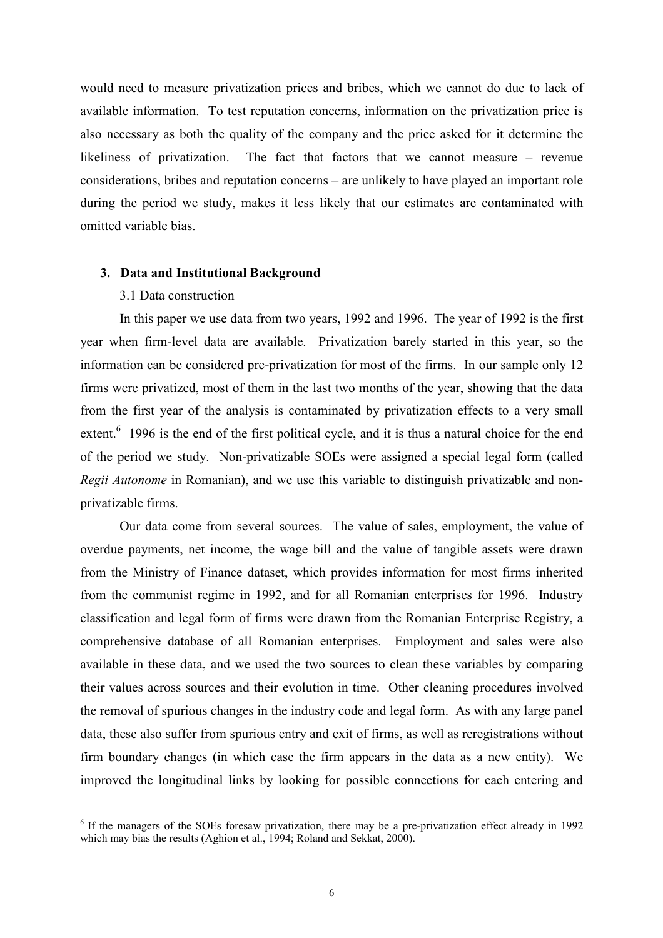would need to measure privatization prices and bribes, which we cannot do due to lack of available information. To test reputation concerns, information on the privatization price is also necessary as both the quality of the company and the price asked for it determine the likeliness of privatization. The fact that factors that we cannot measure – revenue considerations, bribes and reputation concerns – are unlikely to have played an important role during the period we study, makes it less likely that our estimates are contaminated with omitted variable bias.

#### 3. Data and Institutional Background

### 3.1 Data construction

In this paper we use data from two years, 1992 and 1996. The year of 1992 is the first year when firm-level data are available. Privatization barely started in this year, so the information can be considered pre-privatization for most of the firms. In our sample only 12 firms were privatized, most of them in the last two months of the year, showing that the data from the first year of the analysis is contaminated by privatization effects to a very small extent.<sup>6</sup> 1996 is the end of the first political cycle, and it is thus a natural choice for the end of the period we study. Non-privatizable SOEs were assigned a special legal form (called Regii Autonome in Romanian), and we use this variable to distinguish privatizable and nonprivatizable firms.

Our data come from several sources. The value of sales, employment, the value of overdue payments, net income, the wage bill and the value of tangible assets were drawn from the Ministry of Finance dataset, which provides information for most firms inherited from the communist regime in 1992, and for all Romanian enterprises for 1996. Industry classification and legal form of firms were drawn from the Romanian Enterprise Registry, a comprehensive database of all Romanian enterprises. Employment and sales were also available in these data, and we used the two sources to clean these variables by comparing their values across sources and their evolution in time. Other cleaning procedures involved the removal of spurious changes in the industry code and legal form. As with any large panel data, these also suffer from spurious entry and exit of firms, as well as reregistrations without firm boundary changes (in which case the firm appears in the data as a new entity). We improved the longitudinal links by looking for possible connections for each entering and

<sup>&</sup>lt;sup>6</sup> If the managers of the SOEs foresaw privatization, there may be a pre-privatization effect already in 1992 which may bias the results (Aghion et al., 1994; Roland and Sekkat, 2000).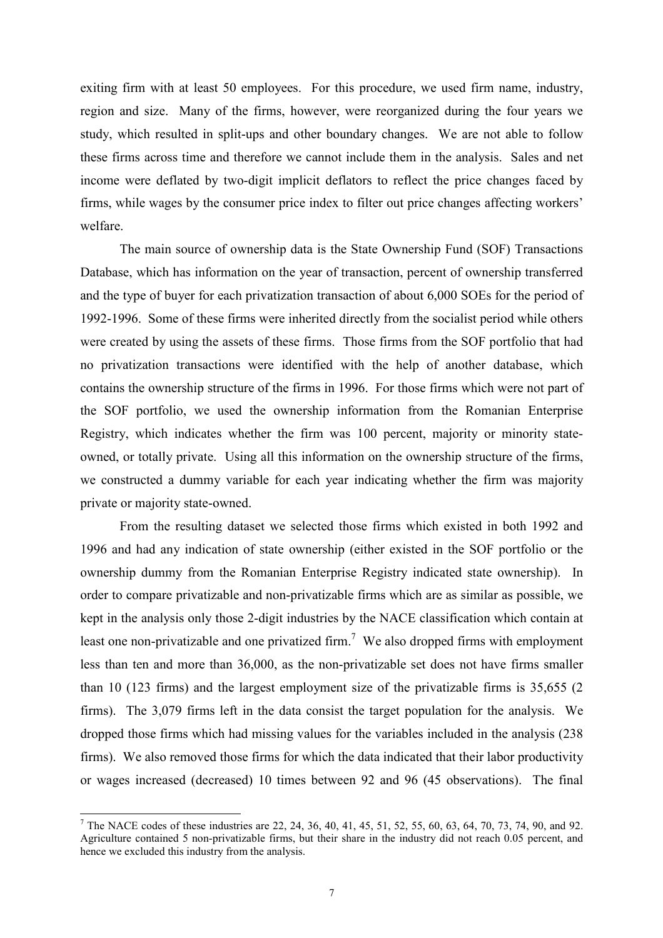exiting firm with at least 50 employees. For this procedure, we used firm name, industry, region and size. Many of the firms, however, were reorganized during the four years we study, which resulted in split-ups and other boundary changes. We are not able to follow these firms across time and therefore we cannot include them in the analysis. Sales and net income were deflated by two-digit implicit deflators to reflect the price changes faced by firms, while wages by the consumer price index to filter out price changes affecting workers' welfare.

The main source of ownership data is the State Ownership Fund (SOF) Transactions Database, which has information on the year of transaction, percent of ownership transferred and the type of buyer for each privatization transaction of about 6,000 SOEs for the period of 1992-1996. Some of these firms were inherited directly from the socialist period while others were created by using the assets of these firms. Those firms from the SOF portfolio that had no privatization transactions were identified with the help of another database, which contains the ownership structure of the firms in 1996. For those firms which were not part of the SOF portfolio, we used the ownership information from the Romanian Enterprise Registry, which indicates whether the firm was 100 percent, majority or minority stateowned, or totally private. Using all this information on the ownership structure of the firms, we constructed a dummy variable for each year indicating whether the firm was majority private or majority state-owned.

From the resulting dataset we selected those firms which existed in both 1992 and 1996 and had any indication of state ownership (either existed in the SOF portfolio or the ownership dummy from the Romanian Enterprise Registry indicated state ownership). In order to compare privatizable and non-privatizable firms which are as similar as possible, we kept in the analysis only those 2-digit industries by the NACE classification which contain at least one non-privatizable and one privatized firm.<sup>7</sup> We also dropped firms with employment less than ten and more than 36,000, as the non-privatizable set does not have firms smaller than 10 (123 firms) and the largest employment size of the privatizable firms is 35,655 (2 firms). The 3,079 firms left in the data consist the target population for the analysis. We dropped those firms which had missing values for the variables included in the analysis (238 firms). We also removed those firms for which the data indicated that their labor productivity or wages increased (decreased) 10 times between 92 and 96 (45 observations). The final

<sup>&</sup>lt;sup>7</sup> The NACE codes of these industries are 22, 24, 36, 40, 41, 45, 51, 52, 55, 60, 63, 64, 70, 73, 74, 90, and 92. Agriculture contained 5 non-privatizable firms, but their share in the industry did not reach 0.05 percent, and hence we excluded this industry from the analysis.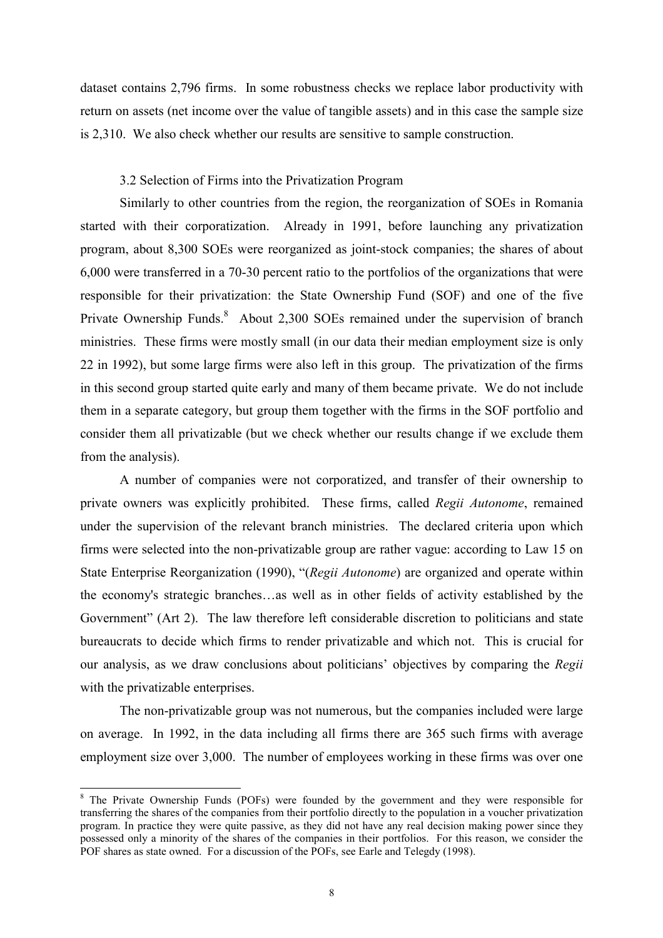dataset contains 2,796 firms. In some robustness checks we replace labor productivity with return on assets (net income over the value of tangible assets) and in this case the sample size is 2,310. We also check whether our results are sensitive to sample construction.

#### 3.2 Selection of Firms into the Privatization Program

Similarly to other countries from the region, the reorganization of SOEs in Romania started with their corporatization. Already in 1991, before launching any privatization program, about 8,300 SOEs were reorganized as joint-stock companies; the shares of about 6,000 were transferred in a 70-30 percent ratio to the portfolios of the organizations that were responsible for their privatization: the State Ownership Fund (SOF) and one of the five Private Ownership Funds.<sup>8</sup> About 2,300 SOEs remained under the supervision of branch ministries. These firms were mostly small (in our data their median employment size is only 22 in 1992), but some large firms were also left in this group. The privatization of the firms in this second group started quite early and many of them became private. We do not include them in a separate category, but group them together with the firms in the SOF portfolio and consider them all privatizable (but we check whether our results change if we exclude them from the analysis).

A number of companies were not corporatized, and transfer of their ownership to private owners was explicitly prohibited. These firms, called *Regii Autonome*, remained under the supervision of the relevant branch ministries. The declared criteria upon which firms were selected into the non-privatizable group are rather vague: according to Law 15 on State Enterprise Reorganization (1990), "(Regii Autonome) are organized and operate within the economy's strategic branches…as well as in other fields of activity established by the Government" (Art 2). The law therefore left considerable discretion to politicians and state bureaucrats to decide which firms to render privatizable and which not. This is crucial for our analysis, as we draw conclusions about politicians' objectives by comparing the Regii with the privatizable enterprises.

The non-privatizable group was not numerous, but the companies included were large on average. In 1992, in the data including all firms there are 365 such firms with average employment size over 3,000. The number of employees working in these firms was over one

<sup>&</sup>lt;sup>8</sup> The Private Ownership Funds (POFs) were founded by the government and they were responsible for transferring the shares of the companies from their portfolio directly to the population in a voucher privatization program. In practice they were quite passive, as they did not have any real decision making power since they possessed only a minority of the shares of the companies in their portfolios. For this reason, we consider the POF shares as state owned. For a discussion of the POFs, see Earle and Telegdy (1998).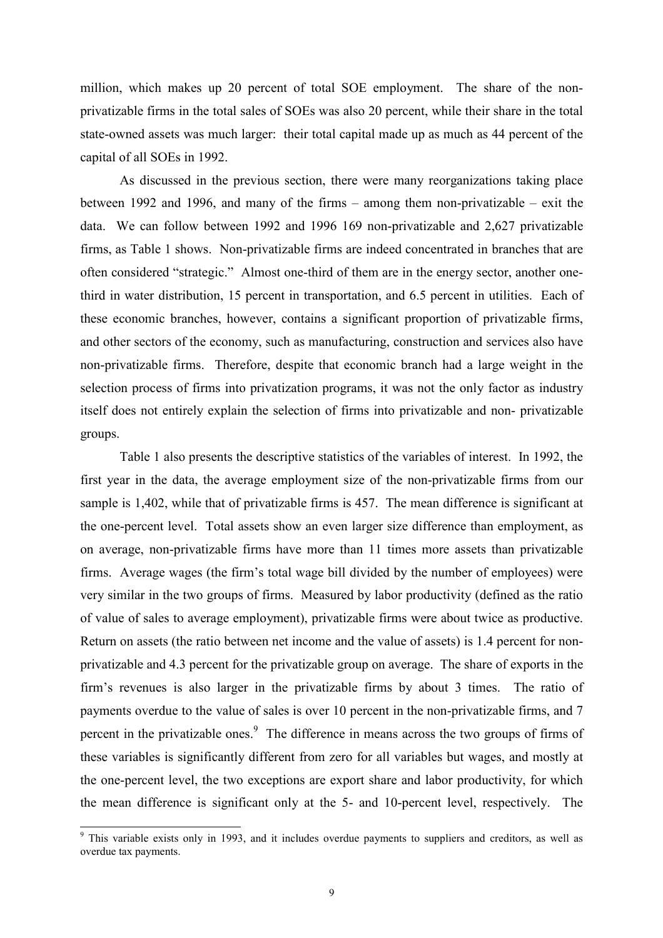million, which makes up 20 percent of total SOE employment. The share of the nonprivatizable firms in the total sales of SOEs was also 20 percent, while their share in the total state-owned assets was much larger: their total capital made up as much as 44 percent of the capital of all SOEs in 1992.

As discussed in the previous section, there were many reorganizations taking place between 1992 and 1996, and many of the firms – among them non-privatizable – exit the data. We can follow between 1992 and 1996 169 non-privatizable and 2,627 privatizable firms, as Table 1 shows. Non-privatizable firms are indeed concentrated in branches that are often considered "strategic." Almost one-third of them are in the energy sector, another onethird in water distribution, 15 percent in transportation, and 6.5 percent in utilities. Each of these economic branches, however, contains a significant proportion of privatizable firms, and other sectors of the economy, such as manufacturing, construction and services also have non-privatizable firms. Therefore, despite that economic branch had a large weight in the selection process of firms into privatization programs, it was not the only factor as industry itself does not entirely explain the selection of firms into privatizable and non- privatizable groups.

Table 1 also presents the descriptive statistics of the variables of interest. In 1992, the first year in the data, the average employment size of the non-privatizable firms from our sample is 1,402, while that of privatizable firms is 457. The mean difference is significant at the one-percent level. Total assets show an even larger size difference than employment, as on average, non-privatizable firms have more than 11 times more assets than privatizable firms. Average wages (the firm's total wage bill divided by the number of employees) were very similar in the two groups of firms. Measured by labor productivity (defined as the ratio of value of sales to average employment), privatizable firms were about twice as productive. Return on assets (the ratio between net income and the value of assets) is 1.4 percent for nonprivatizable and 4.3 percent for the privatizable group on average. The share of exports in the firm's revenues is also larger in the privatizable firms by about 3 times. The ratio of payments overdue to the value of sales is over 10 percent in the non-privatizable firms, and 7 percent in the privatizable ones.<sup>9</sup> The difference in means across the two groups of firms of these variables is significantly different from zero for all variables but wages, and mostly at the one-percent level, the two exceptions are export share and labor productivity, for which the mean difference is significant only at the 5- and 10-percent level, respectively. The

<sup>&</sup>lt;sup>9</sup> This variable exists only in 1993, and it includes overdue payments to suppliers and creditors, as well as overdue tax payments.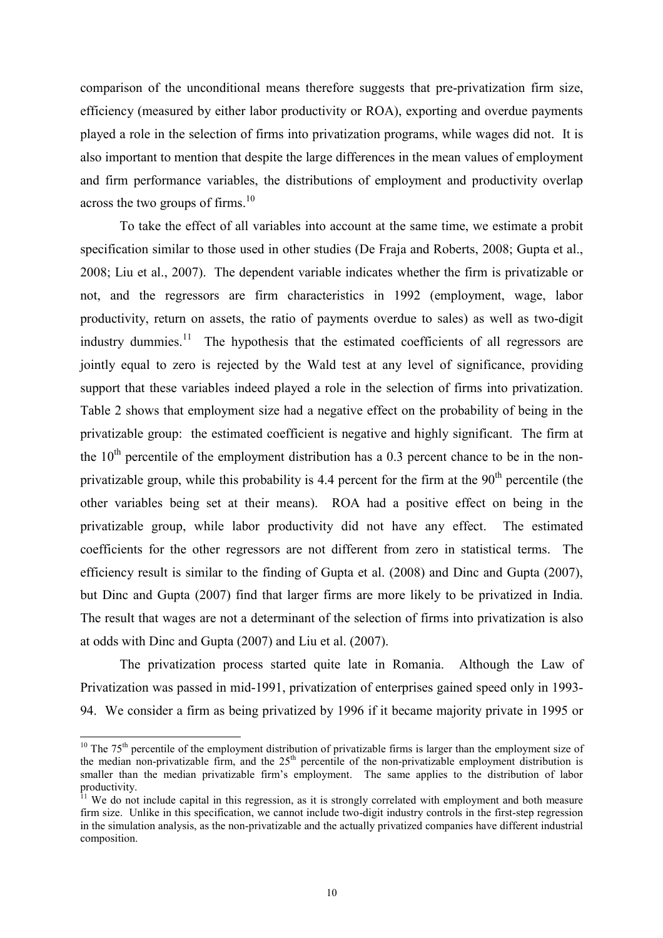comparison of the unconditional means therefore suggests that pre-privatization firm size, efficiency (measured by either labor productivity or ROA), exporting and overdue payments played a role in the selection of firms into privatization programs, while wages did not. It is also important to mention that despite the large differences in the mean values of employment and firm performance variables, the distributions of employment and productivity overlap across the two groups of firms.<sup>10</sup>

To take the effect of all variables into account at the same time, we estimate a probit specification similar to those used in other studies (De Fraja and Roberts, 2008; Gupta et al., 2008; Liu et al., 2007). The dependent variable indicates whether the firm is privatizable or not, and the regressors are firm characteristics in 1992 (employment, wage, labor productivity, return on assets, the ratio of payments overdue to sales) as well as two-digit industry dummies.<sup>11</sup> The hypothesis that the estimated coefficients of all regressors are jointly equal to zero is rejected by the Wald test at any level of significance, providing support that these variables indeed played a role in the selection of firms into privatization. Table 2 shows that employment size had a negative effect on the probability of being in the privatizable group: the estimated coefficient is negative and highly significant. The firm at the  $10<sup>th</sup>$  percentile of the employment distribution has a 0.3 percent chance to be in the nonprivatizable group, while this probability is 4.4 percent for the firm at the  $90<sup>th</sup>$  percentile (the other variables being set at their means). ROA had a positive effect on being in the privatizable group, while labor productivity did not have any effect. The estimated coefficients for the other regressors are not different from zero in statistical terms. The efficiency result is similar to the finding of Gupta et al. (2008) and Dinc and Gupta (2007), but Dinc and Gupta (2007) find that larger firms are more likely to be privatized in India. The result that wages are not a determinant of the selection of firms into privatization is also at odds with Dinc and Gupta (2007) and Liu et al. (2007).

The privatization process started quite late in Romania. Although the Law of Privatization was passed in mid-1991, privatization of enterprises gained speed only in 1993- 94. We consider a firm as being privatized by 1996 if it became majority private in 1995 or

 $\overline{a}$ 

 $10$  The 75<sup>th</sup> percentile of the employment distribution of privatizable firms is larger than the employment size of the median non-privatizable firm, and the  $25<sup>th</sup>$  percentile of the non-privatizable employment distribution is smaller than the median privatizable firm's employment. The same applies to the distribution of labor productivity.

<sup>&</sup>lt;sup>11</sup> We do not include capital in this regression, as it is strongly correlated with employment and both measure firm size. Unlike in this specification, we cannot include two-digit industry controls in the first-step regression in the simulation analysis, as the non-privatizable and the actually privatized companies have different industrial composition.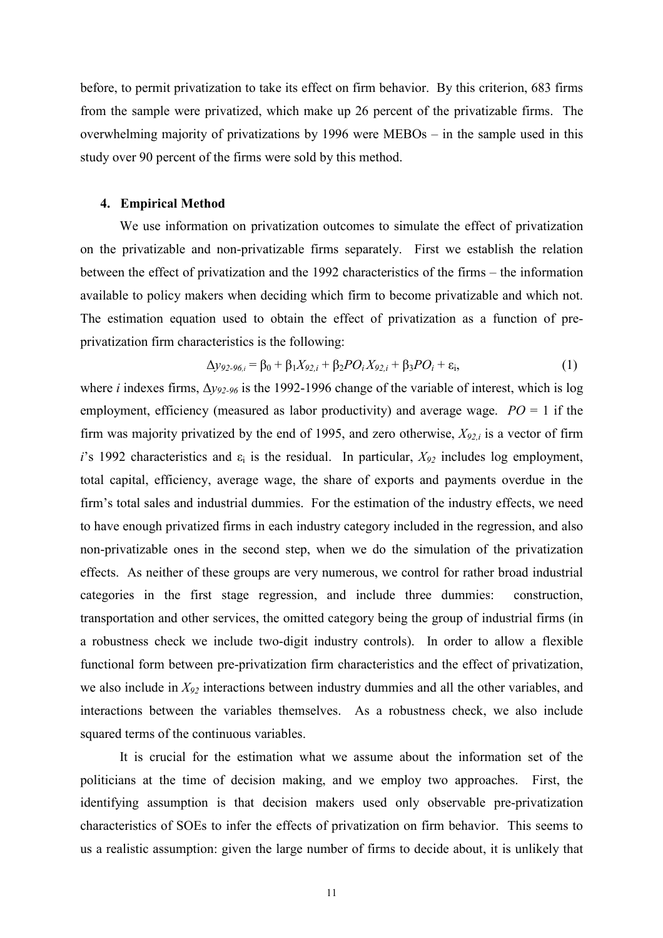before, to permit privatization to take its effect on firm behavior. By this criterion, 683 firms from the sample were privatized, which make up 26 percent of the privatizable firms. The overwhelming majority of privatizations by 1996 were MEBOs – in the sample used in this study over 90 percent of the firms were sold by this method.

#### 4. Empirical Method

We use information on privatization outcomes to simulate the effect of privatization on the privatizable and non-privatizable firms separately. First we establish the relation between the effect of privatization and the 1992 characteristics of the firms – the information available to policy makers when deciding which firm to become privatizable and which not. The estimation equation used to obtain the effect of privatization as a function of preprivatization firm characteristics is the following:

$$
\Delta y_{92\text{-}96,i} = \beta_0 + \beta_1 X_{92,i} + \beta_2 PO_i X_{92,i} + \beta_3 PO_i + \varepsilon_i, \tag{1}
$$

where *i* indexes firms,  $\Delta y_{92.96}$  is the 1992-1996 change of the variable of interest, which is log employment, efficiency (measured as labor productivity) and average wage.  $PO = 1$  if the firm was majority privatized by the end of 1995, and zero otherwise,  $X_{92,i}$  is a vector of firm i's 1992 characteristics and  $\varepsilon_i$  is the residual. In particular,  $X_{92}$  includes log employment, total capital, efficiency, average wage, the share of exports and payments overdue in the firm's total sales and industrial dummies. For the estimation of the industry effects, we need to have enough privatized firms in each industry category included in the regression, and also non-privatizable ones in the second step, when we do the simulation of the privatization effects. As neither of these groups are very numerous, we control for rather broad industrial categories in the first stage regression, and include three dummies: construction, transportation and other services, the omitted category being the group of industrial firms (in a robustness check we include two-digit industry controls). In order to allow a flexible functional form between pre-privatization firm characteristics and the effect of privatization, we also include in  $X_{92}$  interactions between industry dummies and all the other variables, and interactions between the variables themselves. As a robustness check, we also include squared terms of the continuous variables.

It is crucial for the estimation what we assume about the information set of the politicians at the time of decision making, and we employ two approaches. First, the identifying assumption is that decision makers used only observable pre-privatization characteristics of SOEs to infer the effects of privatization on firm behavior. This seems to us a realistic assumption: given the large number of firms to decide about, it is unlikely that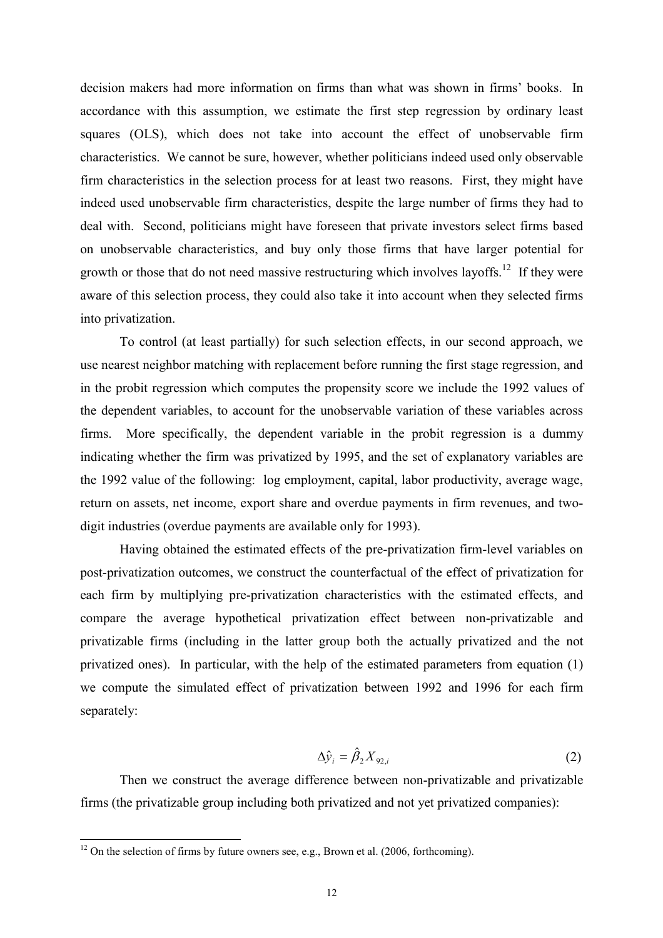decision makers had more information on firms than what was shown in firms' books. In accordance with this assumption, we estimate the first step regression by ordinary least squares (OLS), which does not take into account the effect of unobservable firm characteristics. We cannot be sure, however, whether politicians indeed used only observable firm characteristics in the selection process for at least two reasons. First, they might have indeed used unobservable firm characteristics, despite the large number of firms they had to deal with. Second, politicians might have foreseen that private investors select firms based on unobservable characteristics, and buy only those firms that have larger potential for growth or those that do not need massive restructuring which involves layoffs.<sup>12</sup> If they were aware of this selection process, they could also take it into account when they selected firms into privatization.

To control (at least partially) for such selection effects, in our second approach, we use nearest neighbor matching with replacement before running the first stage regression, and in the probit regression which computes the propensity score we include the 1992 values of the dependent variables, to account for the unobservable variation of these variables across firms. More specifically, the dependent variable in the probit regression is a dummy indicating whether the firm was privatized by 1995, and the set of explanatory variables are the 1992 value of the following: log employment, capital, labor productivity, average wage, return on assets, net income, export share and overdue payments in firm revenues, and twodigit industries (overdue payments are available only for 1993).

Having obtained the estimated effects of the pre-privatization firm-level variables on post-privatization outcomes, we construct the counterfactual of the effect of privatization for each firm by multiplying pre-privatization characteristics with the estimated effects, and compare the average hypothetical privatization effect between non-privatizable and privatizable firms (including in the latter group both the actually privatized and the not privatized ones). In particular, with the help of the estimated parameters from equation (1) we compute the simulated effect of privatization between 1992 and 1996 for each firm separately:

$$
\Delta \hat{\mathcal{Y}}_i = \hat{\beta}_2 X_{92,i} \tag{2}
$$

Then we construct the average difference between non-privatizable and privatizable firms (the privatizable group including both privatized and not yet privatized companies):

 $\overline{a}$ 

 $12$  On the selection of firms by future owners see, e.g., Brown et al. (2006, forthcoming).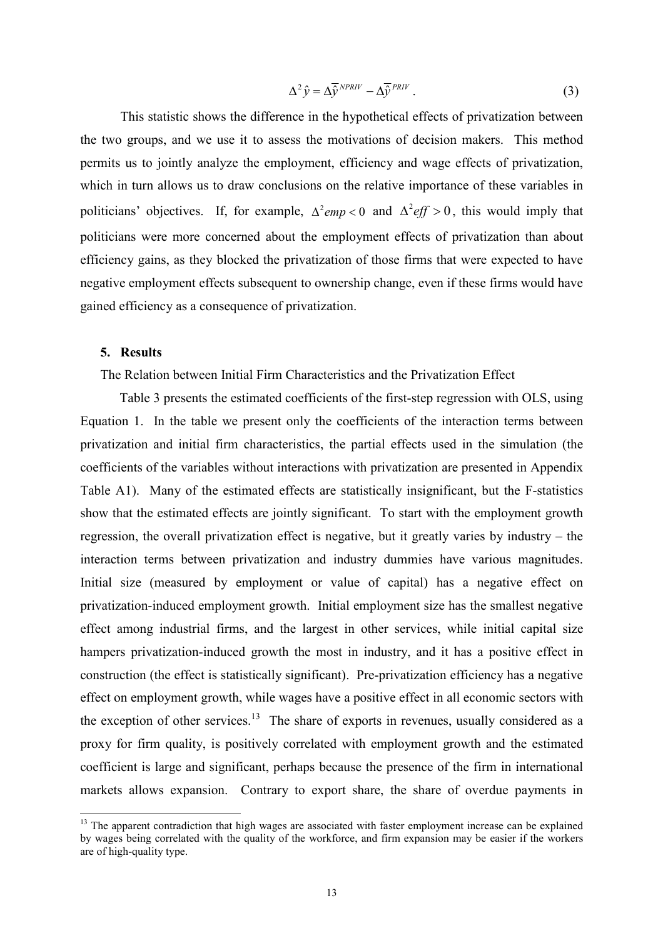$$
\Delta^2 \hat{y} = \Delta \bar{\hat{y}}^{NPRIV} - \Delta \bar{\hat{y}}^{PRIV} \,. \tag{3}
$$

This statistic shows the difference in the hypothetical effects of privatization between the two groups, and we use it to assess the motivations of decision makers. This method permits us to jointly analyze the employment, efficiency and wage effects of privatization, which in turn allows us to draw conclusions on the relative importance of these variables in politicians' objectives. If, for example,  $\Delta^2 e m p < 0$  and  $\Delta^2 e f f > 0$ , this would imply that politicians were more concerned about the employment effects of privatization than about efficiency gains, as they blocked the privatization of those firms that were expected to have negative employment effects subsequent to ownership change, even if these firms would have gained efficiency as a consequence of privatization.

#### 5. Results

 $\overline{a}$ 

The Relation between Initial Firm Characteristics and the Privatization Effect

Table 3 presents the estimated coefficients of the first-step regression with OLS, using Equation 1. In the table we present only the coefficients of the interaction terms between privatization and initial firm characteristics, the partial effects used in the simulation (the coefficients of the variables without interactions with privatization are presented in Appendix Table A1). Many of the estimated effects are statistically insignificant, but the F-statistics show that the estimated effects are jointly significant. To start with the employment growth regression, the overall privatization effect is negative, but it greatly varies by industry – the interaction terms between privatization and industry dummies have various magnitudes. Initial size (measured by employment or value of capital) has a negative effect on privatization-induced employment growth. Initial employment size has the smallest negative effect among industrial firms, and the largest in other services, while initial capital size hampers privatization-induced growth the most in industry, and it has a positive effect in construction (the effect is statistically significant). Pre-privatization efficiency has a negative effect on employment growth, while wages have a positive effect in all economic sectors with the exception of other services.<sup>13</sup> The share of exports in revenues, usually considered as a proxy for firm quality, is positively correlated with employment growth and the estimated coefficient is large and significant, perhaps because the presence of the firm in international markets allows expansion. Contrary to export share, the share of overdue payments in

<sup>&</sup>lt;sup>13</sup> The apparent contradiction that high wages are associated with faster employment increase can be explained by wages being correlated with the quality of the workforce, and firm expansion may be easier if the workers are of high-quality type.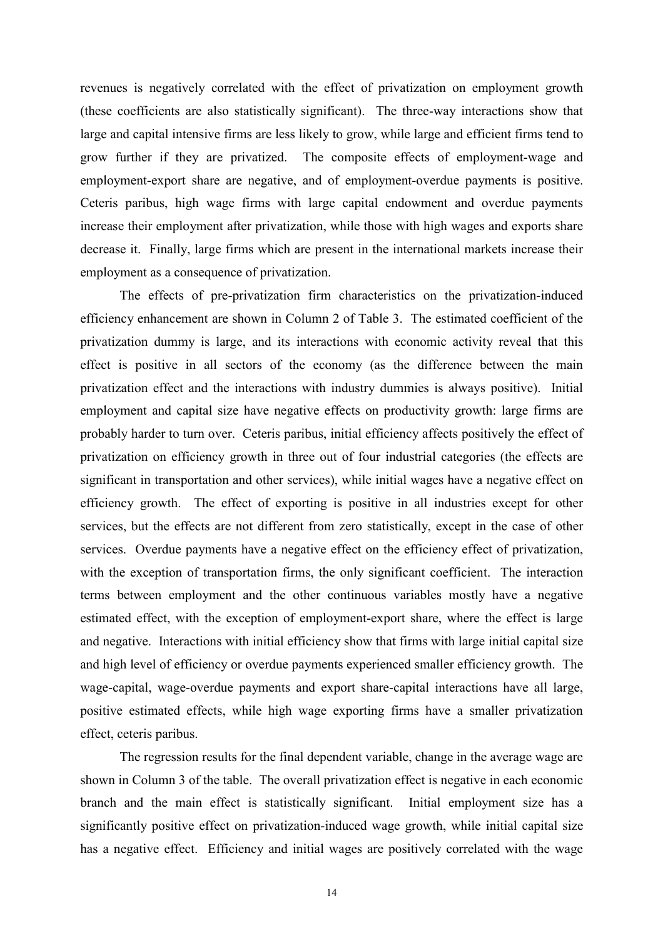revenues is negatively correlated with the effect of privatization on employment growth (these coefficients are also statistically significant). The three-way interactions show that large and capital intensive firms are less likely to grow, while large and efficient firms tend to grow further if they are privatized. The composite effects of employment-wage and employment-export share are negative, and of employment-overdue payments is positive. Ceteris paribus, high wage firms with large capital endowment and overdue payments increase their employment after privatization, while those with high wages and exports share decrease it. Finally, large firms which are present in the international markets increase their employment as a consequence of privatization.

The effects of pre-privatization firm characteristics on the privatization-induced efficiency enhancement are shown in Column 2 of Table 3. The estimated coefficient of the privatization dummy is large, and its interactions with economic activity reveal that this effect is positive in all sectors of the economy (as the difference between the main privatization effect and the interactions with industry dummies is always positive). Initial employment and capital size have negative effects on productivity growth: large firms are probably harder to turn over. Ceteris paribus, initial efficiency affects positively the effect of privatization on efficiency growth in three out of four industrial categories (the effects are significant in transportation and other services), while initial wages have a negative effect on efficiency growth. The effect of exporting is positive in all industries except for other services, but the effects are not different from zero statistically, except in the case of other services. Overdue payments have a negative effect on the efficiency effect of privatization, with the exception of transportation firms, the only significant coefficient. The interaction terms between employment and the other continuous variables mostly have a negative estimated effect, with the exception of employment-export share, where the effect is large and negative. Interactions with initial efficiency show that firms with large initial capital size and high level of efficiency or overdue payments experienced smaller efficiency growth. The wage-capital, wage-overdue payments and export share-capital interactions have all large, positive estimated effects, while high wage exporting firms have a smaller privatization effect, ceteris paribus.

The regression results for the final dependent variable, change in the average wage are shown in Column 3 of the table. The overall privatization effect is negative in each economic branch and the main effect is statistically significant. Initial employment size has a significantly positive effect on privatization-induced wage growth, while initial capital size has a negative effect. Efficiency and initial wages are positively correlated with the wage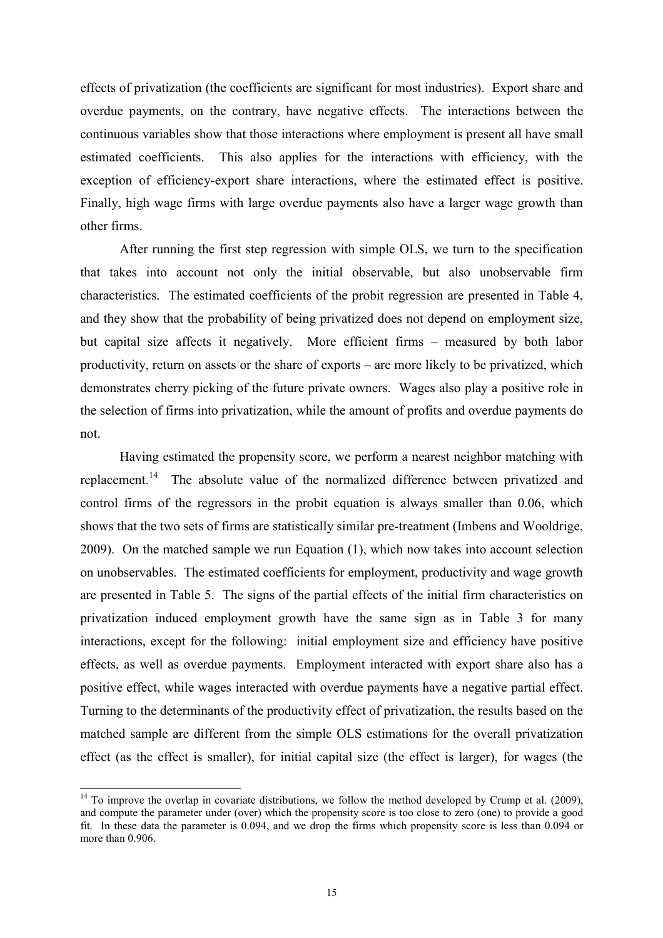effects of privatization (the coefficients are significant for most industries). Export share and overdue payments, on the contrary, have negative effects. The interactions between the continuous variables show that those interactions where employment is present all have small estimated coefficients. This also applies for the interactions with efficiency, with the exception of efficiency-export share interactions, where the estimated effect is positive. Finally, high wage firms with large overdue payments also have a larger wage growth than other firms.

After running the first step regression with simple OLS, we turn to the specification that takes into account not only the initial observable, but also unobservable firm characteristics. The estimated coefficients of the probit regression are presented in Table 4, and they show that the probability of being privatized does not depend on employment size, but capital size affects it negatively. More efficient firms – measured by both labor productivity, return on assets or the share of exports – are more likely to be privatized, which demonstrates cherry picking of the future private owners. Wages also play a positive role in the selection of firms into privatization, while the amount of profits and overdue payments do not.

Having estimated the propensity score, we perform a nearest neighbor matching with replacement.<sup>14</sup> The absolute value of the normalized difference between privatized and control firms of the regressors in the probit equation is always smaller than 0.06, which shows that the two sets of firms are statistically similar pre-treatment (Imbens and Wooldrige, 2009). On the matched sample we run Equation (1), which now takes into account selection on unobservables. The estimated coefficients for employment, productivity and wage growth are presented in Table 5. The signs of the partial effects of the initial firm characteristics on privatization induced employment growth have the same sign as in Table 3 for many interactions, except for the following: initial employment size and efficiency have positive effects, as well as overdue payments. Employment interacted with export share also has a positive effect, while wages interacted with overdue payments have a negative partial effect. Turning to the determinants of the productivity effect of privatization, the results based on the matched sample are different from the simple OLS estimations for the overall privatization effect (as the effect is smaller), for initial capital size (the effect is larger), for wages (the

 $\overline{a}$ 

 $14$  To improve the overlap in covariate distributions, we follow the method developed by Crump et al. (2009), and compute the parameter under (over) which the propensity score is too close to zero (one) to provide a good fit. In these data the parameter is 0.094, and we drop the firms which propensity score is less than 0.094 or more than 0.906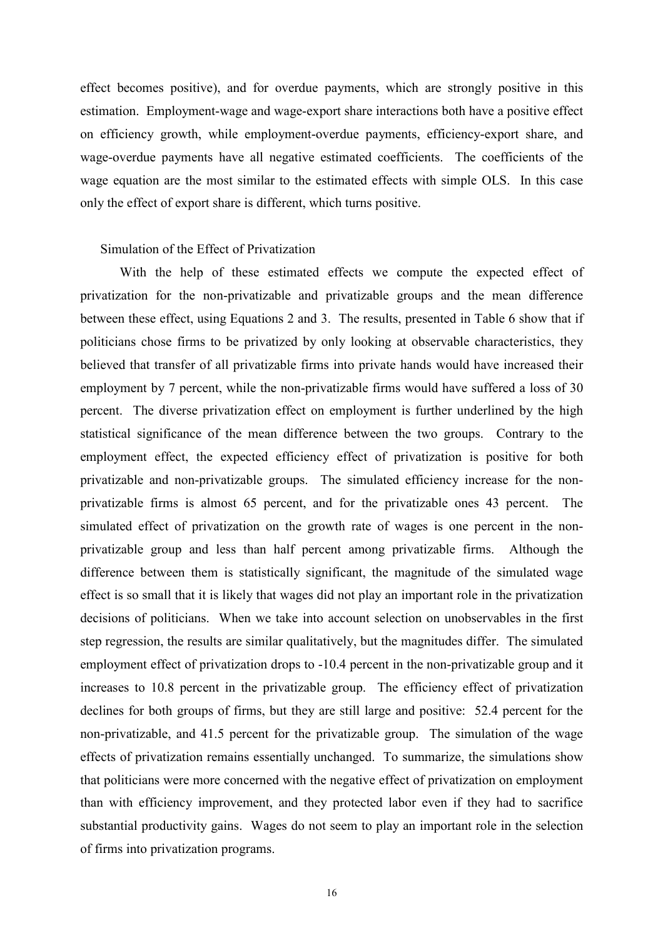effect becomes positive), and for overdue payments, which are strongly positive in this estimation. Employment-wage and wage-export share interactions both have a positive effect on efficiency growth, while employment-overdue payments, efficiency-export share, and wage-overdue payments have all negative estimated coefficients. The coefficients of the wage equation are the most similar to the estimated effects with simple OLS. In this case only the effect of export share is different, which turns positive.

### Simulation of the Effect of Privatization

With the help of these estimated effects we compute the expected effect of privatization for the non-privatizable and privatizable groups and the mean difference between these effect, using Equations 2 and 3. The results, presented in Table 6 show that if politicians chose firms to be privatized by only looking at observable characteristics, they believed that transfer of all privatizable firms into private hands would have increased their employment by 7 percent, while the non-privatizable firms would have suffered a loss of 30 percent. The diverse privatization effect on employment is further underlined by the high statistical significance of the mean difference between the two groups. Contrary to the employment effect, the expected efficiency effect of privatization is positive for both privatizable and non-privatizable groups. The simulated efficiency increase for the nonprivatizable firms is almost 65 percent, and for the privatizable ones 43 percent. The simulated effect of privatization on the growth rate of wages is one percent in the nonprivatizable group and less than half percent among privatizable firms. Although the difference between them is statistically significant, the magnitude of the simulated wage effect is so small that it is likely that wages did not play an important role in the privatization decisions of politicians. When we take into account selection on unobservables in the first step regression, the results are similar qualitatively, but the magnitudes differ. The simulated employment effect of privatization drops to -10.4 percent in the non-privatizable group and it increases to 10.8 percent in the privatizable group. The efficiency effect of privatization declines for both groups of firms, but they are still large and positive: 52.4 percent for the non-privatizable, and 41.5 percent for the privatizable group. The simulation of the wage effects of privatization remains essentially unchanged. To summarize, the simulations show that politicians were more concerned with the negative effect of privatization on employment than with efficiency improvement, and they protected labor even if they had to sacrifice substantial productivity gains. Wages do not seem to play an important role in the selection of firms into privatization programs.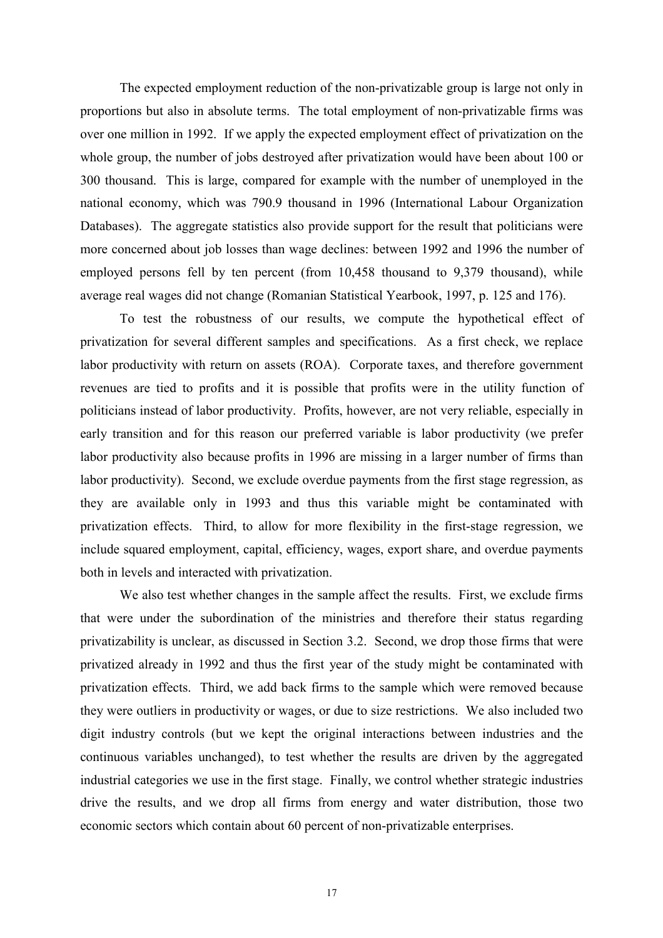The expected employment reduction of the non-privatizable group is large not only in proportions but also in absolute terms. The total employment of non-privatizable firms was over one million in 1992. If we apply the expected employment effect of privatization on the whole group, the number of jobs destroyed after privatization would have been about 100 or 300 thousand. This is large, compared for example with the number of unemployed in the national economy, which was 790.9 thousand in 1996 (International Labour Organization Databases). The aggregate statistics also provide support for the result that politicians were more concerned about job losses than wage declines: between 1992 and 1996 the number of employed persons fell by ten percent (from 10,458 thousand to 9,379 thousand), while average real wages did not change (Romanian Statistical Yearbook, 1997, p. 125 and 176).

To test the robustness of our results, we compute the hypothetical effect of privatization for several different samples and specifications. As a first check, we replace labor productivity with return on assets (ROA). Corporate taxes, and therefore government revenues are tied to profits and it is possible that profits were in the utility function of politicians instead of labor productivity. Profits, however, are not very reliable, especially in early transition and for this reason our preferred variable is labor productivity (we prefer labor productivity also because profits in 1996 are missing in a larger number of firms than labor productivity). Second, we exclude overdue payments from the first stage regression, as they are available only in 1993 and thus this variable might be contaminated with privatization effects. Third, to allow for more flexibility in the first-stage regression, we include squared employment, capital, efficiency, wages, export share, and overdue payments both in levels and interacted with privatization.

We also test whether changes in the sample affect the results. First, we exclude firms that were under the subordination of the ministries and therefore their status regarding privatizability is unclear, as discussed in Section 3.2. Second, we drop those firms that were privatized already in 1992 and thus the first year of the study might be contaminated with privatization effects. Third, we add back firms to the sample which were removed because they were outliers in productivity or wages, or due to size restrictions. We also included two digit industry controls (but we kept the original interactions between industries and the continuous variables unchanged), to test whether the results are driven by the aggregated industrial categories we use in the first stage. Finally, we control whether strategic industries drive the results, and we drop all firms from energy and water distribution, those two economic sectors which contain about 60 percent of non-privatizable enterprises.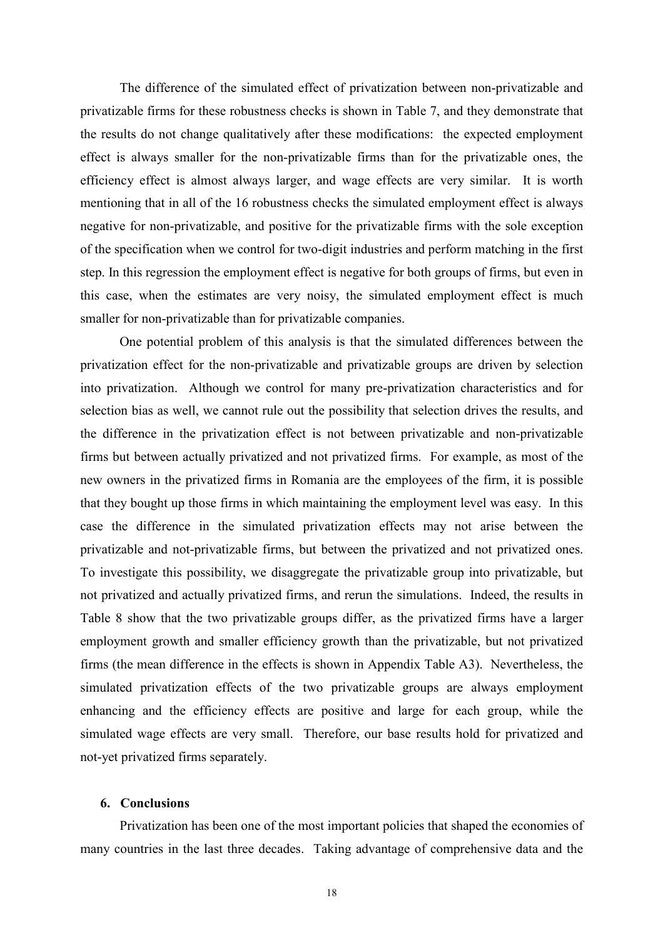The difference of the simulated effect of privatization between non-privatizable and privatizable firms for these robustness checks is shown in Table 7, and they demonstrate that the results do not change qualitatively after these modifications: the expected employment effect is always smaller for the non-privatizable firms than for the privatizable ones, the efficiency effect is almost always larger, and wage effects are very similar. It is worth mentioning that in all of the 16 robustness checks the simulated employment effect is always negative for non-privatizable, and positive for the privatizable firms with the sole exception of the specification when we control for two-digit industries and perform matching in the first step. In this regression the employment effect is negative for both groups of firms, but even in this case, when the estimates are very noisy, the simulated employment effect is much smaller for non-privatizable than for privatizable companies.

One potential problem of this analysis is that the simulated differences between the privatization effect for the non-privatizable and privatizable groups are driven by selection into privatization. Although we control for many pre-privatization characteristics and for selection bias as well, we cannot rule out the possibility that selection drives the results, and the difference in the privatization effect is not between privatizable and non-privatizable firms but between actually privatized and not privatized firms. For example, as most of the new owners in the privatized firms in Romania are the employees of the firm, it is possible that they bought up those firms in which maintaining the employment level was easy. In this case the difference in the simulated privatization effects may not arise between the privatizable and not-privatizable firms, but between the privatized and not privatized ones. To investigate this possibility, we disaggregate the privatizable group into privatizable, but not privatized and actually privatized firms, and rerun the simulations. Indeed, the results in Table 8 show that the two privatizable groups differ, as the privatized firms have a larger employment growth and smaller efficiency growth than the privatizable, but not privatized firms (the mean difference in the effects is shown in Appendix Table A3). Nevertheless, the simulated privatization effects of the two privatizable groups are always employment enhancing and the efficiency effects are positive and large for each group, while the simulated wage effects are very small. Therefore, our base results hold for privatized and not-yet privatized firms separately.

#### 6. Conclusions

Privatization has been one of the most important policies that shaped the economies of many countries in the last three decades. Taking advantage of comprehensive data and the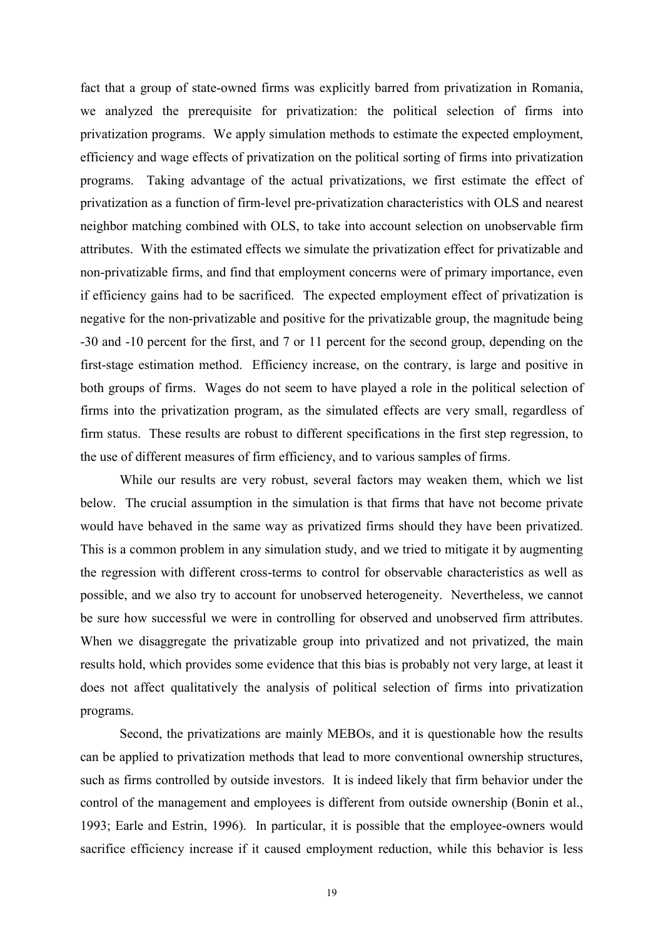fact that a group of state-owned firms was explicitly barred from privatization in Romania, we analyzed the prerequisite for privatization: the political selection of firms into privatization programs. We apply simulation methods to estimate the expected employment, efficiency and wage effects of privatization on the political sorting of firms into privatization programs. Taking advantage of the actual privatizations, we first estimate the effect of privatization as a function of firm-level pre-privatization characteristics with OLS and nearest neighbor matching combined with OLS, to take into account selection on unobservable firm attributes. With the estimated effects we simulate the privatization effect for privatizable and non-privatizable firms, and find that employment concerns were of primary importance, even if efficiency gains had to be sacrificed. The expected employment effect of privatization is negative for the non-privatizable and positive for the privatizable group, the magnitude being -30 and -10 percent for the first, and 7 or 11 percent for the second group, depending on the first-stage estimation method. Efficiency increase, on the contrary, is large and positive in both groups of firms. Wages do not seem to have played a role in the political selection of firms into the privatization program, as the simulated effects are very small, regardless of firm status. These results are robust to different specifications in the first step regression, to the use of different measures of firm efficiency, and to various samples of firms.

While our results are very robust, several factors may weaken them, which we list below. The crucial assumption in the simulation is that firms that have not become private would have behaved in the same way as privatized firms should they have been privatized. This is a common problem in any simulation study, and we tried to mitigate it by augmenting the regression with different cross-terms to control for observable characteristics as well as possible, and we also try to account for unobserved heterogeneity. Nevertheless, we cannot be sure how successful we were in controlling for observed and unobserved firm attributes. When we disaggregate the privatizable group into privatized and not privatized, the main results hold, which provides some evidence that this bias is probably not very large, at least it does not affect qualitatively the analysis of political selection of firms into privatization programs.

Second, the privatizations are mainly MEBOs, and it is questionable how the results can be applied to privatization methods that lead to more conventional ownership structures, such as firms controlled by outside investors. It is indeed likely that firm behavior under the control of the management and employees is different from outside ownership (Bonin et al., 1993; Earle and Estrin, 1996). In particular, it is possible that the employee-owners would sacrifice efficiency increase if it caused employment reduction, while this behavior is less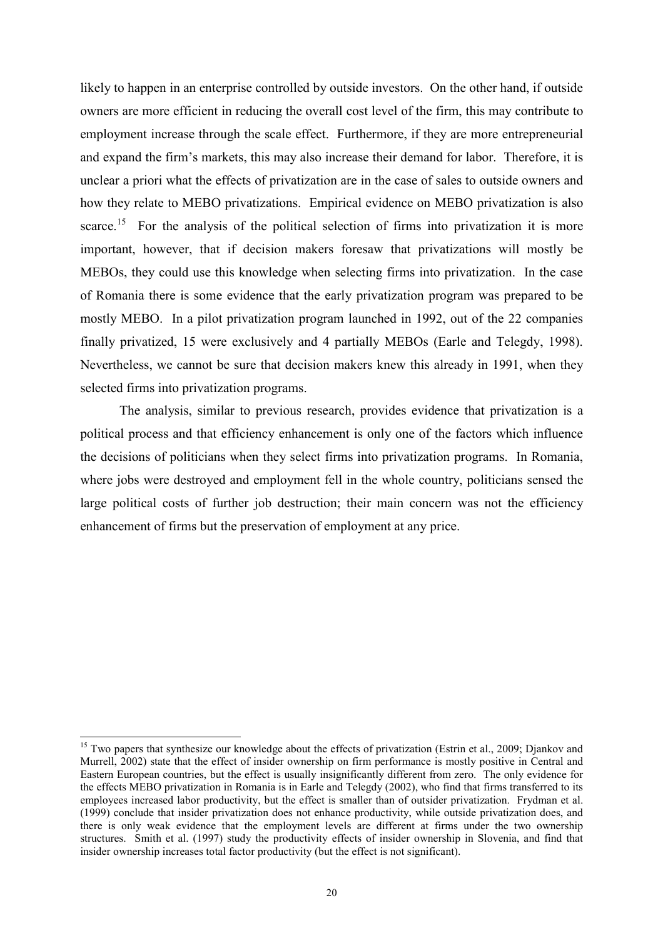likely to happen in an enterprise controlled by outside investors. On the other hand, if outside owners are more efficient in reducing the overall cost level of the firm, this may contribute to employment increase through the scale effect. Furthermore, if they are more entrepreneurial and expand the firm's markets, this may also increase their demand for labor. Therefore, it is unclear a priori what the effects of privatization are in the case of sales to outside owners and how they relate to MEBO privatizations. Empirical evidence on MEBO privatization is also scarce.<sup>15</sup> For the analysis of the political selection of firms into privatization it is more important, however, that if decision makers foresaw that privatizations will mostly be MEBOs, they could use this knowledge when selecting firms into privatization. In the case of Romania there is some evidence that the early privatization program was prepared to be mostly MEBO. In a pilot privatization program launched in 1992, out of the 22 companies finally privatized, 15 were exclusively and 4 partially MEBOs (Earle and Telegdy, 1998). Nevertheless, we cannot be sure that decision makers knew this already in 1991, when they selected firms into privatization programs.

The analysis, similar to previous research, provides evidence that privatization is a political process and that efficiency enhancement is only one of the factors which influence the decisions of politicians when they select firms into privatization programs. In Romania, where jobs were destroyed and employment fell in the whole country, politicians sensed the large political costs of further job destruction; their main concern was not the efficiency enhancement of firms but the preservation of employment at any price.

 $\overline{a}$ 

<sup>&</sup>lt;sup>15</sup> Two papers that synthesize our knowledge about the effects of privatization (Estrin et al., 2009; Djankov and Murrell, 2002) state that the effect of insider ownership on firm performance is mostly positive in Central and Eastern European countries, but the effect is usually insignificantly different from zero. The only evidence for the effects MEBO privatization in Romania is in Earle and Telegdy (2002), who find that firms transferred to its employees increased labor productivity, but the effect is smaller than of outsider privatization. Frydman et al. (1999) conclude that insider privatization does not enhance productivity, while outside privatization does, and there is only weak evidence that the employment levels are different at firms under the two ownership structures. Smith et al. (1997) study the productivity effects of insider ownership in Slovenia, and find that insider ownership increases total factor productivity (but the effect is not significant).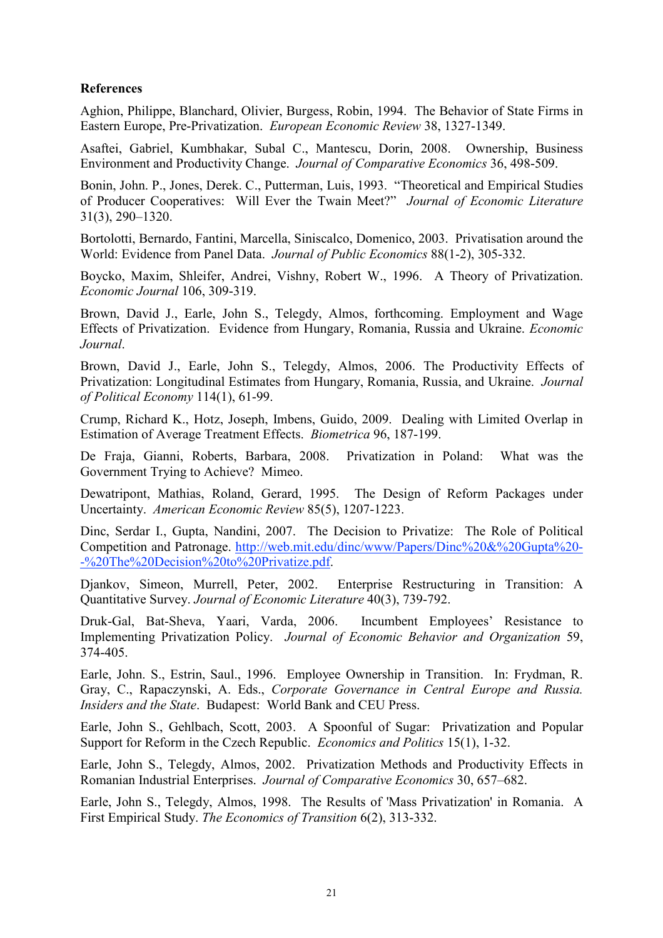# **References**

Aghion, Philippe, Blanchard, Olivier, Burgess, Robin, 1994. The Behavior of State Firms in Eastern Europe, Pre-Privatization. European Economic Review 38, 1327-1349.

Asaftei, Gabriel, Kumbhakar, Subal C., Mantescu, Dorin, 2008. Ownership, Business Environment and Productivity Change. Journal of Comparative Economics 36, 498-509.

Bonin, John. P., Jones, Derek. C., Putterman, Luis, 1993. "Theoretical and Empirical Studies of Producer Cooperatives: Will Ever the Twain Meet?" Journal of Economic Literature 31(3), 290–1320.

Bortolotti, Bernardo, Fantini, Marcella, Siniscalco, Domenico, 2003. Privatisation around the World: Evidence from Panel Data. Journal of Public Economics 88(1-2), 305-332.

Boycko, Maxim, Shleifer, Andrei, Vishny, Robert W., 1996. A Theory of Privatization. Economic Journal 106, 309-319.

Brown, David J., Earle, John S., Telegdy, Almos, forthcoming. Employment and Wage Effects of Privatization. Evidence from Hungary, Romania, Russia and Ukraine. Economic Journal.

Brown, David J., Earle, John S., Telegdy, Almos, 2006. The Productivity Effects of Privatization: Longitudinal Estimates from Hungary, Romania, Russia, and Ukraine. Journal of Political Economy 114(1), 61-99.

Crump, Richard K., Hotz, Joseph, Imbens, Guido, 2009. Dealing with Limited Overlap in Estimation of Average Treatment Effects. Biometrica 96, 187-199.

De Fraja, Gianni, Roberts, Barbara, 2008. Privatization in Poland: What was the Government Trying to Achieve? Mimeo.

Dewatripont, Mathias, Roland, Gerard, 1995. The Design of Reform Packages under Uncertainty. American Economic Review 85(5), 1207-1223.

Dinc, Serdar I., Gupta, Nandini, 2007. The Decision to Privatize: The Role of Political Competition and Patronage. http://web.mit.edu/dinc/www/Papers/Dinc%20&%20Gupta%20- -%20The%20Decision%20to%20Privatize.pdf.

Djankov, Simeon, Murrell, Peter, 2002. Enterprise Restructuring in Transition: A Quantitative Survey. Journal of Economic Literature 40(3), 739-792.

Druk-Gal, Bat-Sheva, Yaari, Varda, 2006. Incumbent Employees' Resistance to Implementing Privatization Policy. Journal of Economic Behavior and Organization 59, 374-405.

Earle, John. S., Estrin, Saul., 1996. Employee Ownership in Transition. In: Frydman, R. Gray, C., Rapaczynski, A. Eds., Corporate Governance in Central Europe and Russia. Insiders and the State. Budapest: World Bank and CEU Press.

Earle, John S., Gehlbach, Scott, 2003. A Spoonful of Sugar: Privatization and Popular Support for Reform in the Czech Republic. Economics and Politics 15(1), 1-32.

Earle, John S., Telegdy, Almos, 2002. Privatization Methods and Productivity Effects in Romanian Industrial Enterprises. Journal of Comparative Economics 30, 657–682.

Earle, John S., Telegdy, Almos, 1998. The Results of 'Mass Privatization' in Romania. A First Empirical Study. The Economics of Transition 6(2), 313-332.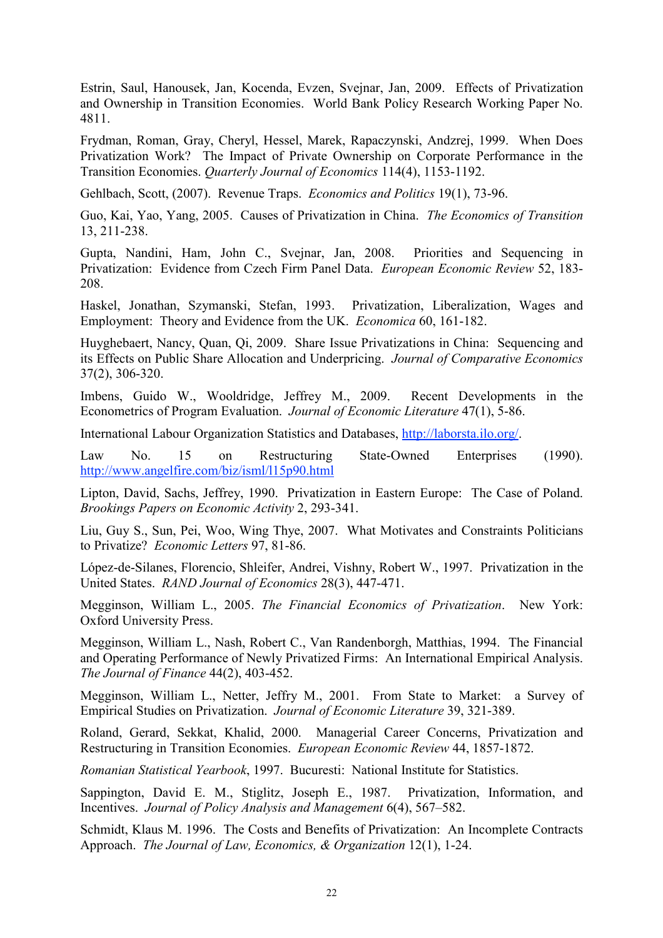Estrin, Saul, Hanousek, Jan, Kocenda, Evzen, Svejnar, Jan, 2009. Effects of Privatization and Ownership in Transition Economies. World Bank Policy Research Working Paper No. 4811.

Frydman, Roman, Gray, Cheryl, Hessel, Marek, Rapaczynski, Andzrej, 1999. When Does Privatization Work? The Impact of Private Ownership on Corporate Performance in the Transition Economies. Quarterly Journal of Economics 114(4), 1153-1192.

Gehlbach, Scott, (2007). Revenue Traps. Economics and Politics 19(1), 73-96.

Guo, Kai, Yao, Yang, 2005. Causes of Privatization in China. The Economics of Transition 13, 211-238.

Gupta, Nandini, Ham, John C., Svejnar, Jan, 2008. Priorities and Sequencing in Privatization: Evidence from Czech Firm Panel Data. European Economic Review 52, 183- 208.

Haskel, Jonathan, Szymanski, Stefan, 1993. Privatization, Liberalization, Wages and Employment: Theory and Evidence from the UK. Economica 60, 161-182.

Huyghebaert, Nancy, Quan, Qi, 2009. Share Issue Privatizations in China: Sequencing and its Effects on Public Share Allocation and Underpricing. Journal of Comparative Economics 37(2), 306-320.

Imbens, Guido W., Wooldridge, Jeffrey M., 2009. Recent Developments in the Econometrics of Program Evaluation. Journal of Economic Literature 47(1), 5-86.

International Labour Organization Statistics and Databases, http://laborsta.ilo.org/.

Law No. 15 on Restructuring State-Owned Enterprises (1990). http://www.angelfire.com/biz/isml/l15p90.html

Lipton, David, Sachs, Jeffrey, 1990. Privatization in Eastern Europe: The Case of Poland. Brookings Papers on Economic Activity 2, 293-341.

Liu, Guy S., Sun, Pei, Woo, Wing Thye, 2007. What Motivates and Constraints Politicians to Privatize? Economic Letters 97, 81-86.

López-de-Silanes, Florencio, Shleifer, Andrei, Vishny, Robert W., 1997. Privatization in the United States. RAND Journal of Economics 28(3), 447-471.

Megginson, William L., 2005. The Financial Economics of Privatization. New York: Oxford University Press.

Megginson, William L., Nash, Robert C., Van Randenborgh, Matthias, 1994. The Financial and Operating Performance of Newly Privatized Firms: An International Empirical Analysis. The Journal of Finance 44(2), 403-452.

Megginson, William L., Netter, Jeffry M., 2001. From State to Market: a Survey of Empirical Studies on Privatization. Journal of Economic Literature 39, 321-389.

Roland, Gerard, Sekkat, Khalid, 2000. Managerial Career Concerns, Privatization and Restructuring in Transition Economies. European Economic Review 44, 1857-1872.

Romanian Statistical Yearbook, 1997. Bucuresti: National Institute for Statistics.

Sappington, David E. M., Stiglitz, Joseph E., 1987. Privatization, Information, and Incentives. Journal of Policy Analysis and Management 6(4), 567–582.

Schmidt, Klaus M. 1996. The Costs and Benefits of Privatization: An Incomplete Contracts Approach. The Journal of Law, Economics, & Organization 12(1), 1-24.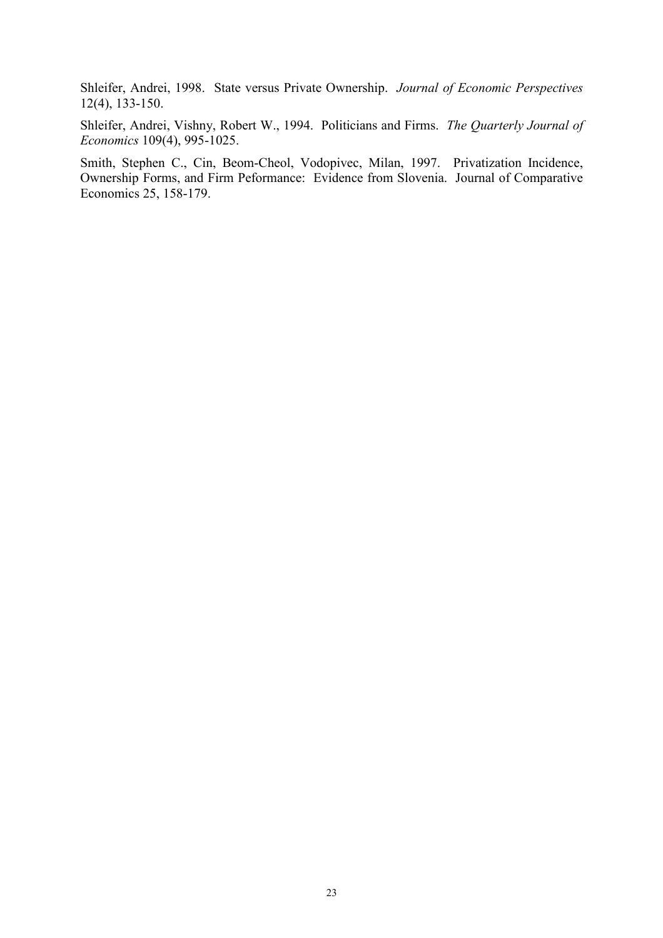Shleifer, Andrei, 1998. State versus Private Ownership. Journal of Economic Perspectives 12(4), 133-150.

Shleifer, Andrei, Vishny, Robert W., 1994. Politicians and Firms. The Quarterly Journal of Economics 109(4), 995-1025.

Smith, Stephen C., Cin, Beom-Cheol, Vodopivec, Milan, 1997. Privatization Incidence, Ownership Forms, and Firm Peformance: Evidence from Slovenia. Journal of Comparative Economics 25, 158-179.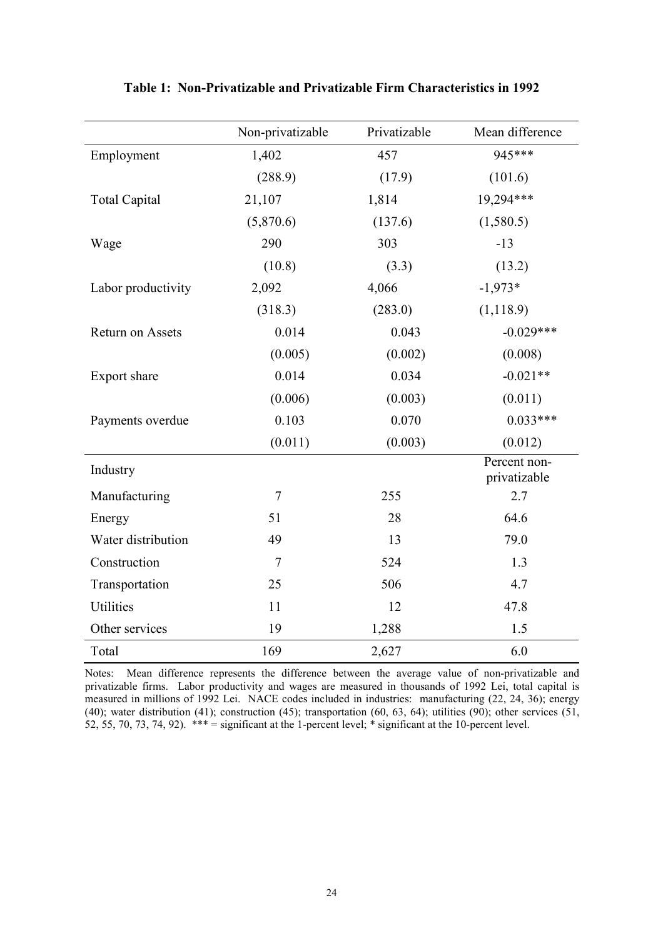|                      | Non-privatizable | Privatizable | Mean difference              |
|----------------------|------------------|--------------|------------------------------|
| Employment           | 1,402            | 457          | 945***                       |
|                      | (288.9)          | (17.9)       | (101.6)                      |
| <b>Total Capital</b> | 21,107           | 1,814        | 19,294***                    |
|                      | (5,870.6)        | (137.6)      | (1,580.5)                    |
| Wage                 | 290              | 303          | $-13$                        |
|                      | (10.8)           | (3.3)        | (13.2)                       |
| Labor productivity   | 2,092            | 4,066        | $-1,973*$                    |
|                      | (318.3)          | (283.0)      | (1, 118.9)                   |
| Return on Assets     | 0.014            | 0.043        | $-0.029***$                  |
|                      | (0.005)          | (0.002)      | (0.008)                      |
| Export share         | 0.014            | 0.034        | $-0.021**$                   |
|                      | (0.006)          | (0.003)      | (0.011)                      |
| Payments overdue     | 0.103            | 0.070        | $0.033***$                   |
|                      | (0.011)          | (0.003)      | (0.012)                      |
| Industry             |                  |              | Percent non-<br>privatizable |
| Manufacturing        | $\overline{7}$   | 255          | 2.7                          |
| Energy               | 51               | 28           | 64.6                         |
| Water distribution   | 49               | 13           | 79.0                         |
| Construction         | $\tau$           | 524          | 1.3                          |
| Transportation       | 25               | 506          | 4.7                          |
| <b>Utilities</b>     | 11               | 12           | 47.8                         |
| Other services       | 19               | 1,288        | 1.5                          |
| Total                | 169              | 2,627        | 6.0                          |

Table 1: Non-Privatizable and Privatizable Firm Characteristics in 1992

Notes: Mean difference represents the difference between the average value of non-privatizable and privatizable firms. Labor productivity and wages are measured in thousands of 1992 Lei, total capital is measured in millions of 1992 Lei. NACE codes included in industries: manufacturing (22, 24, 36); energy (40); water distribution (41); construction (45); transportation (60, 63, 64); utilities (90); other services (51, 52, 55, 70, 73, 74, 92). \*\*\* = significant at the 1-percent level; \* significant at the 10-percent level.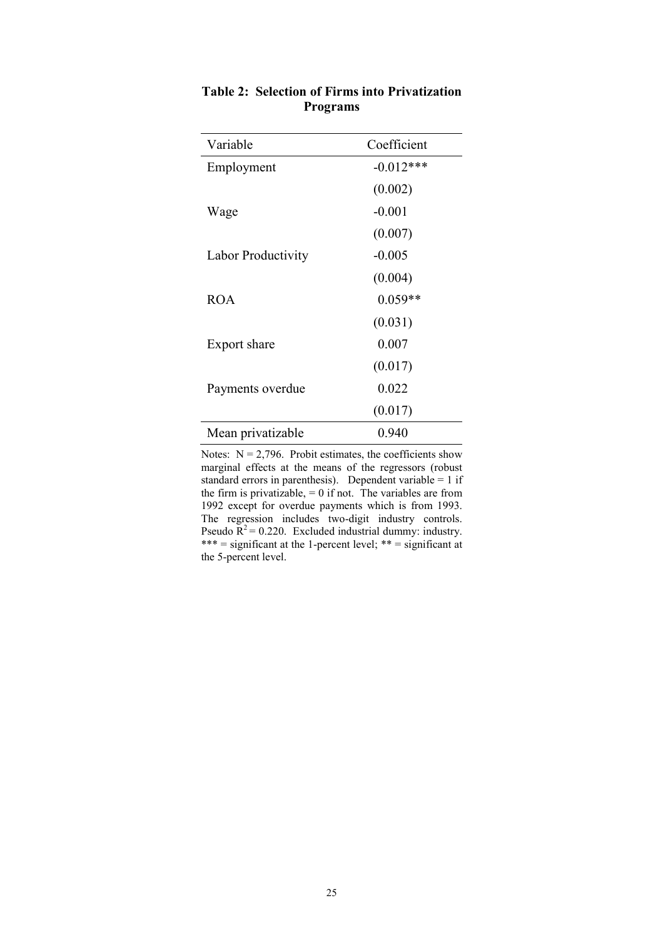| Variable           | Coefficient |
|--------------------|-------------|
| Employment         | $-0.012***$ |
|                    | (0.002)     |
| Wage               | $-0.001$    |
|                    | (0.007)     |
| Labor Productivity | $-0.005$    |
|                    | (0.004)     |
| <b>ROA</b>         | $0.059**$   |
|                    | (0.031)     |
| Export share       | 0.007       |
|                    | (0.017)     |
| Payments overdue   | 0.022       |
|                    | (0.017)     |
| Mean privatizable  | 0.940       |

# Table 2: Selection of Firms into Privatization Programs

Notes:  $N = 2,796$ . Probit estimates, the coefficients show marginal effects at the means of the regressors (robust standard errors in parenthesis). Dependent variable =  $1$  if the firm is privatizable,  $= 0$  if not. The variables are from 1992 except for overdue payments which is from 1993. The regression includes two-digit industry controls. Pseudo  $R^2$  = 0.220. Excluded industrial dummy: industry. \*\*\* = significant at the 1-percent level; \*\* = significant at the 5-percent level.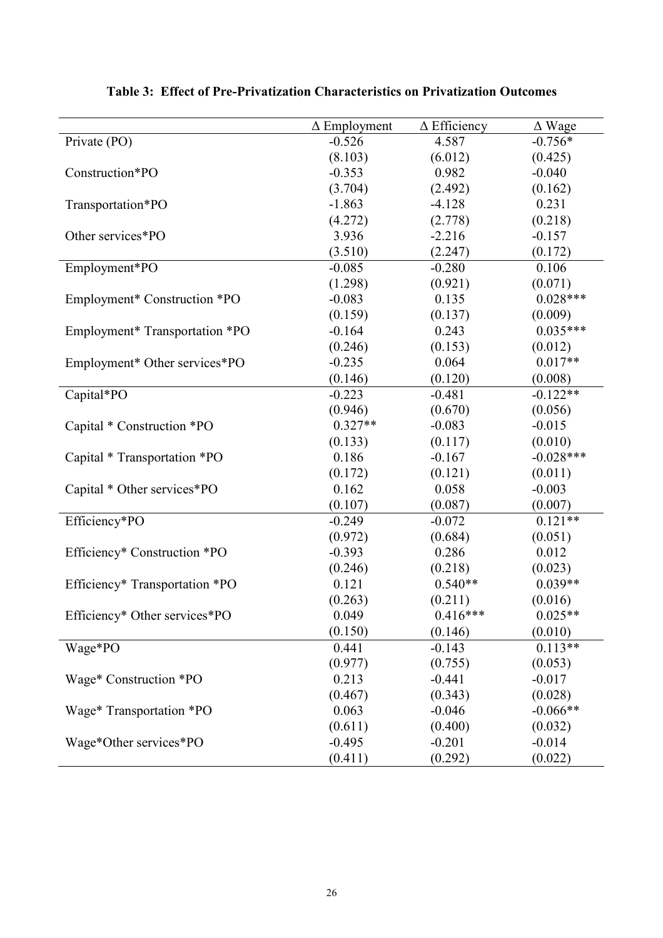|                                | $\Delta$ Employment | $\overline{\Delta}$ Efficiency | $\Delta$ Wage |
|--------------------------------|---------------------|--------------------------------|---------------|
| Private (PO)                   | $-0.526$            | 4.587                          | $-0.756*$     |
|                                | (8.103)             | (6.012)                        | (0.425)       |
| Construction*PO                | $-0.353$            | 0.982                          | $-0.040$      |
|                                | (3.704)             | (2.492)                        | (0.162)       |
| Transportation*PO              | $-1.863$            | $-4.128$                       | 0.231         |
|                                | (4.272)             | (2.778)                        | (0.218)       |
| Other services*PO              | 3.936               | $-2.216$                       | $-0.157$      |
|                                | (3.510)             | (2.247)                        | (0.172)       |
| Employment*PO                  | $-0.085$            | $-0.280$                       | 0.106         |
|                                | (1.298)             | (0.921)                        | (0.071)       |
| Employment* Construction *PO   | $-0.083$            | 0.135                          | $0.028***$    |
|                                | (0.159)             | (0.137)                        | (0.009)       |
| Employment* Transportation *PO | $-0.164$            | 0.243                          | $0.035***$    |
|                                | (0.246)             | (0.153)                        | (0.012)       |
| Employment* Other services*PO  | $-0.235$            | 0.064                          | $0.017**$     |
|                                | (0.146)             | (0.120)                        | (0.008)       |
| Capital*PO                     | $-0.223$            | $-0.481$                       | $-0.122**$    |
|                                | (0.946)             | (0.670)                        | (0.056)       |
| Capital * Construction *PO     | $0.327**$           | $-0.083$                       | $-0.015$      |
|                                | (0.133)             | (0.117)                        | (0.010)       |
| Capital * Transportation *PO   | 0.186               | $-0.167$                       | $-0.028***$   |
|                                | (0.172)             | (0.121)                        | (0.011)       |
| Capital * Other services*PO    | 0.162               | 0.058                          | $-0.003$      |
|                                | (0.107)             | (0.087)                        | (0.007)       |
| Efficiency*PO                  | $-0.249$            | $-0.072$                       | $0.121**$     |
|                                | (0.972)             | (0.684)                        | (0.051)       |
| Efficiency* Construction *PO   | $-0.393$            | 0.286                          | 0.012         |
|                                | (0.246)             | (0.218)                        | (0.023)       |
| Efficiency* Transportation *PO | 0.121               | $0.540**$                      | $0.039**$     |
|                                | (0.263)             | (0.211)                        | (0.016)       |
| Efficiency* Other services*PO  | 0.049               | $0.416***$                     | $0.025**$     |
|                                | (0.150)             | (0.146)                        | (0.010)       |
| Wage*PO                        | 0.441               | $-0.143$                       | $0.113**$     |
|                                | (0.977)             | (0.755)                        | (0.053)       |
| Wage* Construction *PO         | 0.213               | $-0.441$                       | $-0.017$      |
|                                | (0.467)             | (0.343)                        | (0.028)       |
| Wage* Transportation *PO       | 0.063               | $-0.046$                       | $-0.066**$    |
|                                | (0.611)             | (0.400)                        | (0.032)       |
| Wage*Other services*PO         | $-0.495$            | $-0.201$                       | $-0.014$      |
|                                | (0.411)             | (0.292)                        | (0.022)       |

Table 3: Effect of Pre-Privatization Characteristics on Privatization Outcomes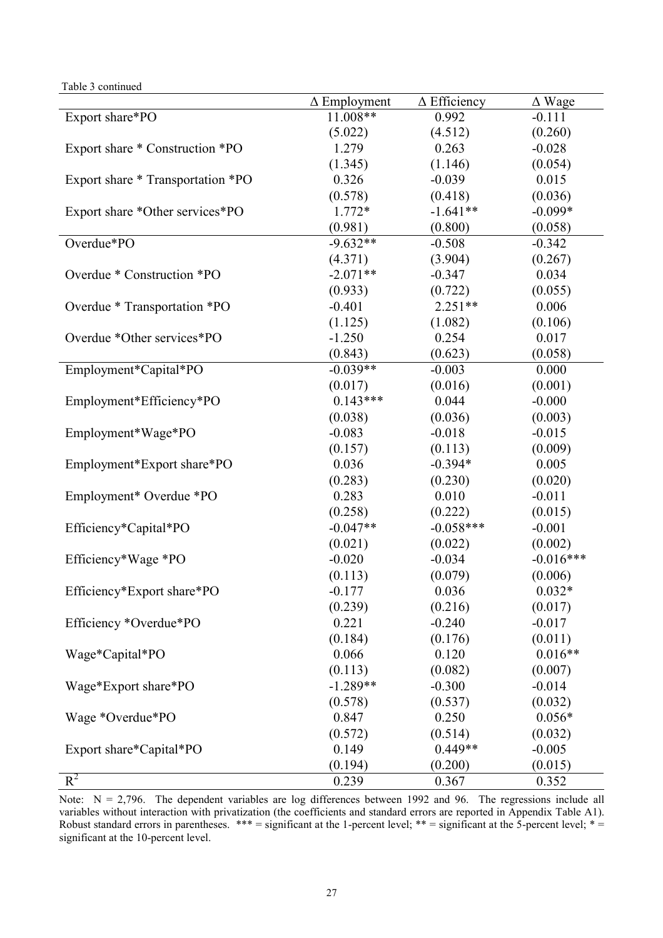Table 3 continued

|                                   | $\Delta$ Employment | $\Delta$ Efficiency | $\Delta$ Wage |
|-----------------------------------|---------------------|---------------------|---------------|
| Export share*PO                   | 11.008**            | 0.992               | $-0.111$      |
|                                   | (5.022)             | (4.512)             | (0.260)       |
| Export share * Construction *PO   | 1.279               | 0.263               | $-0.028$      |
|                                   | (1.345)             | (1.146)             | (0.054)       |
| Export share * Transportation *PO | 0.326               | $-0.039$            | 0.015         |
|                                   | (0.578)             | (0.418)             | (0.036)       |
| Export share *Other services*PO   | 1.772*              | $-1.641**$          | $-0.099*$     |
|                                   | (0.981)             | (0.800)             | (0.058)       |
| Overdue*PO                        | $-9.632**$          | $-0.508$            | $-0.342$      |
|                                   | (4.371)             | (3.904)             | (0.267)       |
| Overdue * Construction *PO        | $-2.071**$          | $-0.347$            | 0.034         |
|                                   | (0.933)             | (0.722)             | (0.055)       |
| Overdue * Transportation *PO      | $-0.401$            | $2.251**$           | 0.006         |
|                                   | (1.125)             | (1.082)             | (0.106)       |
| Overdue *Other services*PO        | $-1.250$            | 0.254               | 0.017         |
|                                   | (0.843)             | (0.623)             | (0.058)       |
| Employment*Capital*PO             | $-0.039**$          | $-0.003$            | 0.000         |
|                                   | (0.017)             | (0.016)             | (0.001)       |
| Employment*Efficiency*PO          | $0.143***$          | 0.044               | $-0.000$      |
|                                   | (0.038)             | (0.036)             | (0.003)       |
| Employment*Wage*PO                | $-0.083$            | $-0.018$            | $-0.015$      |
|                                   | (0.157)             | (0.113)             | (0.009)       |
| Employment*Export share*PO        | 0.036               | $-0.394*$           | 0.005         |
|                                   | (0.283)             | (0.230)             | (0.020)       |
| Employment* Overdue *PO           | 0.283               | 0.010               | $-0.011$      |
|                                   | (0.258)             | (0.222)             | (0.015)       |
| Efficiency*Capital*PO             | $-0.047**$          | $-0.058***$         | $-0.001$      |
|                                   | (0.021)             | (0.022)             | (0.002)       |
| Efficiency*Wage *PO               | $-0.020$            | $-0.034$            | $-0.016***$   |
|                                   | (0.113)             | (0.079)             | (0.006)       |
| Efficiency*Export share*PO        | $-0.177$            | 0.036               | $0.032*$      |
|                                   | (0.239)             | (0.216)             | (0.017)       |
| Efficiency *Overdue*PO            | 0.221               | $-0.240$            | $-0.017$      |
|                                   | (0.184)             | (0.176)             | (0.011)       |
| Wage*Capital*PO                   | 0.066               | 0.120               | $0.016**$     |
|                                   | (0.113)             | (0.082)             | (0.007)       |
| Wage*Export share*PO              | $-1.289**$          | $-0.300$            | $-0.014$      |
|                                   | (0.578)             | (0.537)             | (0.032)       |
| Wage *Overdue*PO                  | 0.847               | 0.250               | $0.056*$      |
|                                   | (0.572)             | (0.514)             | (0.032)       |
| Export share*Capital*PO           | 0.149               | $0.449**$           | $-0.005$      |
|                                   | (0.194)             | (0.200)             | (0.015)       |
| $R^2$                             | 0.239               | 0.367               | 0.352         |

Note:  $N = 2,796$ . The dependent variables are log differences between 1992 and 96. The regressions include all variables without interaction with privatization (the coefficients and standard errors are reported in Appendix Table A1). Robust standard errors in parentheses.  $*** =$  significant at the 1-percent level;  $** =$  significant at the 5-percent level;  $* =$ significant at the 10-percent level.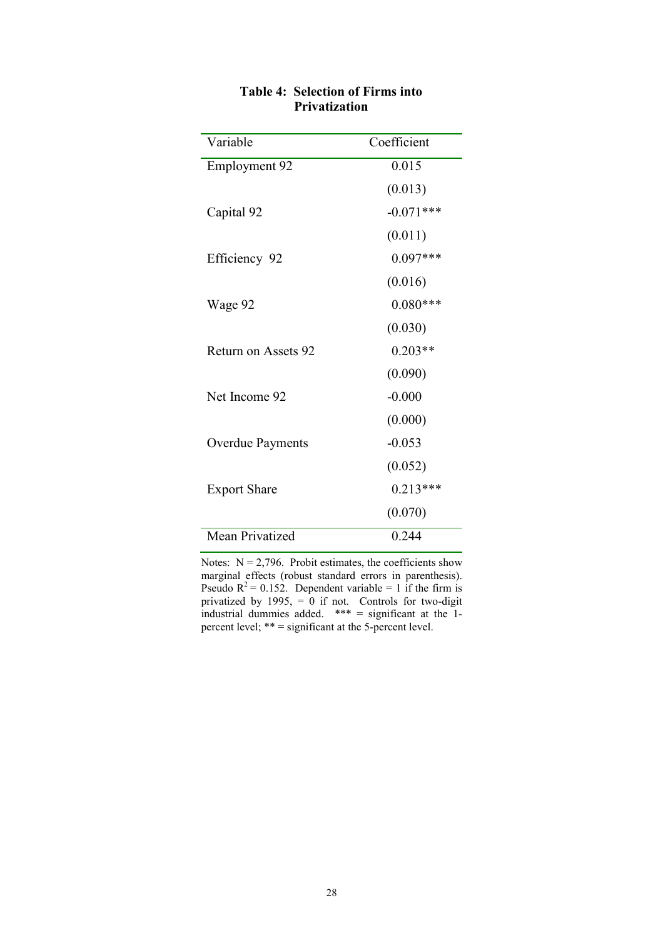| Variable                | Coefficient |
|-------------------------|-------------|
| Employment 92           | 0.015       |
|                         | (0.013)     |
| Capital 92              | $-0.071***$ |
|                         | (0.011)     |
| Efficiency 92           | $0.097***$  |
|                         | (0.016)     |
| Wage 92                 | $0.080***$  |
|                         | (0.030)     |
| Return on Assets 92     | $0.203**$   |
|                         | (0.090)     |
| Net Income 92           | $-0.000$    |
|                         | (0.000)     |
| <b>Overdue Payments</b> | $-0.053$    |
|                         | (0.052)     |
| <b>Export Share</b>     | $0.213***$  |
|                         | (0.070)     |
| <b>Mean Privatized</b>  | 0.244       |

## Table 4: Selection of Firms into Privatization

Notes:  $N = 2,796$ . Probit estimates, the coefficients show marginal effects (robust standard errors in parenthesis). Pseudo  $R^2 = 0.152$ . Dependent variable = 1 if the firm is privatized by 1995, = 0 if not. Controls for two-digit industrial dummies added. \*\*\* = significant at the 1 percent level; \*\* = significant at the 5-percent level.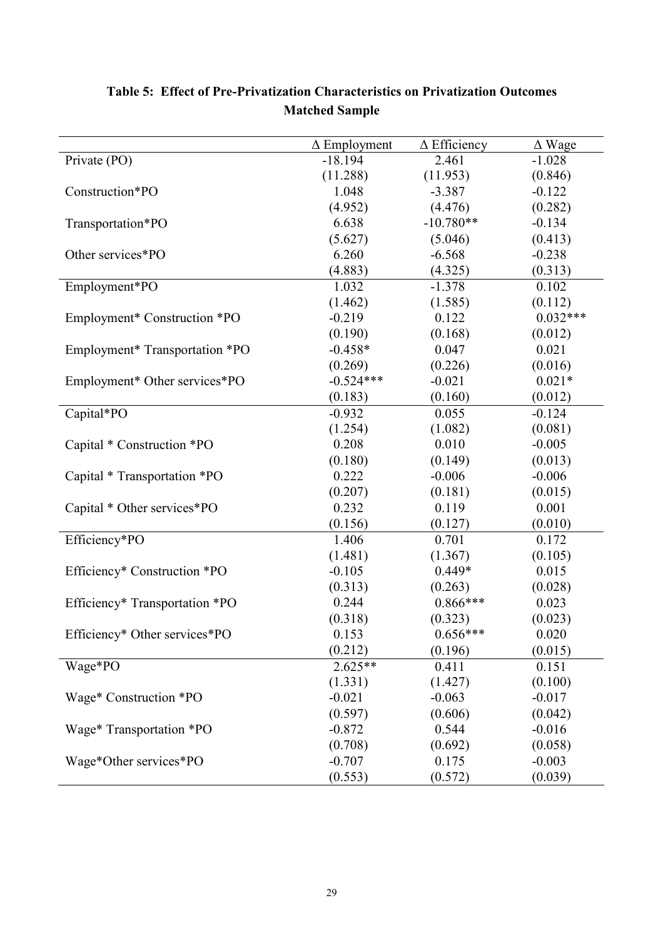|                                | $\Delta$ Employment | $\Delta$ Efficiency | $\Delta$ Wage |
|--------------------------------|---------------------|---------------------|---------------|
| Private (PO)                   | $-18.194$           | 2.461               | $-1.028$      |
|                                | (11.288)            | (11.953)            | (0.846)       |
| Construction*PO                | 1.048               | $-3.387$            | $-0.122$      |
|                                | (4.952)             | (4.476)             | (0.282)       |
| Transportation*PO              | 6.638               | $-10.780**$         | $-0.134$      |
|                                | (5.627)             | (5.046)             | (0.413)       |
| Other services*PO              | 6.260               | $-6.568$            | $-0.238$      |
|                                | (4.883)             | (4.325)             | (0.313)       |
| Employment*PO                  | 1.032               | $-1.378$            | 0.102         |
|                                | (1.462)             | (1.585)             | (0.112)       |
| Employment* Construction *PO   | $-0.219$            | 0.122               | $0.032***$    |
|                                | (0.190)             | (0.168)             | (0.012)       |
| Employment* Transportation *PO | $-0.458*$           | 0.047               | 0.021         |
|                                | (0.269)             | (0.226)             | (0.016)       |
| Employment* Other services*PO  | $-0.524***$         | $-0.021$            | $0.021*$      |
|                                | (0.183)             | (0.160)             | (0.012)       |
| Capital*PO                     | $-0.932$            | 0.055               | $-0.124$      |
|                                | (1.254)             | (1.082)             | (0.081)       |
| Capital * Construction *PO     | 0.208               | 0.010               | $-0.005$      |
|                                | (0.180)             | (0.149)             | (0.013)       |
| Capital * Transportation *PO   | 0.222               | $-0.006$            | $-0.006$      |
|                                | (0.207)             | (0.181)             | (0.015)       |
| Capital * Other services*PO    | 0.232               | 0.119               | 0.001         |
|                                | (0.156)             | (0.127)             | (0.010)       |
| Efficiency*PO                  | 1.406               | 0.701               | 0.172         |
|                                | (1.481)             | (1.367)             | (0.105)       |
| Efficiency* Construction *PO   | $-0.105$            | $0.449*$            | 0.015         |
|                                | (0.313)             | (0.263)             | (0.028)       |
| Efficiency* Transportation *PO | 0.244               | $0.866***$          | 0.023         |
|                                | (0.318)             | (0.323)             | (0.023)       |
| Efficiency* Other services*PO  | 0.153               | $0.656***$          | 0.020         |
|                                | (0.212)             | (0.196)             | (0.015)       |
| Wage*PO                        | $2.625**$           | 0.411               | 0.151         |
|                                | (1.331)             | (1.427)             | (0.100)       |
| Wage* Construction *PO         | $-0.021$            | $-0.063$            | $-0.017$      |
|                                | (0.597)             | (0.606)             | (0.042)       |
| Wage* Transportation *PO       | $-0.872$            | 0.544               | $-0.016$      |
|                                | (0.708)             | (0.692)             | (0.058)       |
| Wage*Other services*PO         | $-0.707$            | 0.175               | $-0.003$      |
|                                | (0.553)             | (0.572)             | (0.039)       |

# Table 5: Effect of Pre-Privatization Characteristics on Privatization Outcomes Matched Sample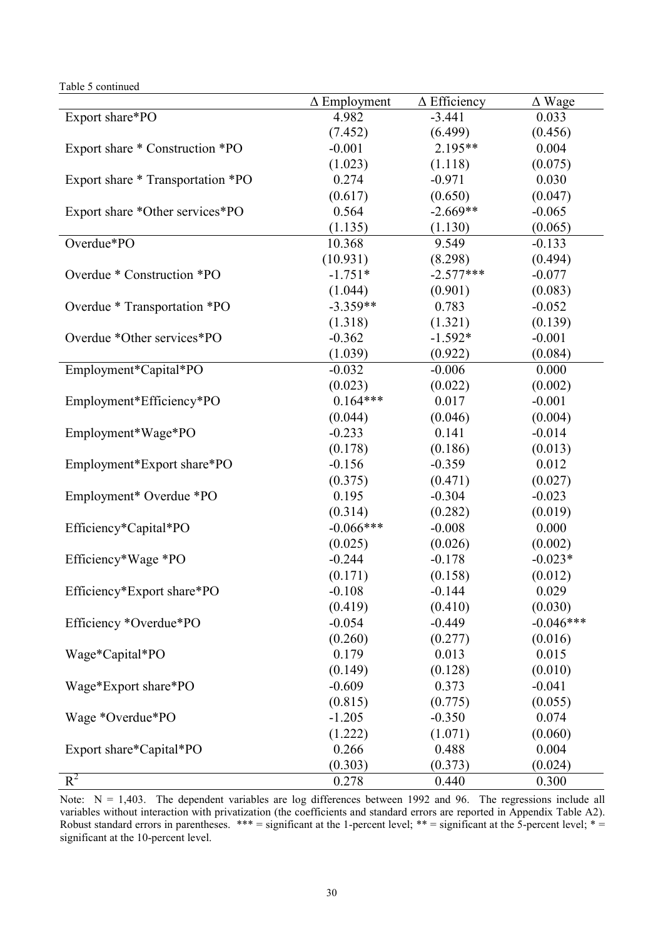Table 5 continued

|                                   | $\Delta$ Employment | $\Delta$ Efficiency | $\Delta$ Wage |
|-----------------------------------|---------------------|---------------------|---------------|
| Export share*PO                   | 4.982               | $-3.441$            | 0.033         |
|                                   | (7.452)             | (6.499)             | (0.456)       |
| Export share * Construction *PO   | $-0.001$            | 2.195**             | 0.004         |
|                                   | (1.023)             | (1.118)             | (0.075)       |
| Export share * Transportation *PO | 0.274               | $-0.971$            | 0.030         |
|                                   | (0.617)             | (0.650)             | (0.047)       |
| Export share *Other services*PO   | 0.564               | $-2.669**$          | $-0.065$      |
|                                   | (1.135)             | (1.130)             | (0.065)       |
| Overdue*PO                        | 10.368              | 9.549               | $-0.133$      |
|                                   | (10.931)            | (8.298)             | (0.494)       |
| Overdue * Construction *PO        | $-1.751*$           | $-2.577***$         | $-0.077$      |
|                                   | (1.044)             | (0.901)             | (0.083)       |
| Overdue * Transportation *PO      | $-3.359**$          | 0.783               | $-0.052$      |
|                                   | (1.318)             | (1.321)             | (0.139)       |
| Overdue *Other services*PO        | $-0.362$            | $-1.592*$           | $-0.001$      |
|                                   | (1.039)             | (0.922)             | (0.084)       |
| Employment*Capital*PO             | $-0.032$            | $-0.006$            | 0.000         |
|                                   | (0.023)             | (0.022)             | (0.002)       |
| Employment*Efficiency*PO          | $0.164***$          | 0.017               | $-0.001$      |
|                                   | (0.044)             | (0.046)             | (0.004)       |
| Employment*Wage*PO                | $-0.233$            | 0.141               | $-0.014$      |
|                                   | (0.178)             | (0.186)             | (0.013)       |
| Employment*Export share*PO        | $-0.156$            | $-0.359$            | 0.012         |
|                                   | (0.375)             | (0.471)             | (0.027)       |
| Employment* Overdue *PO           | 0.195               | $-0.304$            | $-0.023$      |
|                                   | (0.314)             | (0.282)             | (0.019)       |
| Efficiency*Capital*PO             | $-0.066***$         | $-0.008$            | 0.000         |
|                                   | (0.025)             | (0.026)             | (0.002)       |
| Efficiency*Wage *PO               | $-0.244$            | $-0.178$            | $-0.023*$     |
|                                   | (0.171)             | (0.158)             | (0.012)       |
| Efficiency*Export share*PO        | $-0.108$            | $-0.144$            | 0.029         |
|                                   | (0.419)             | (0.410)             | (0.030)       |
| Efficiency *Overdue*PO            | $-0.054$            | $-0.449$            | $-0.046***$   |
|                                   | (0.260)             | (0.277)             | (0.016)       |
| Wage*Capital*PO                   | 0.179               | 0.013               | 0.015         |
|                                   | (0.149)             | (0.128)             | (0.010)       |
| Wage*Export share*PO              | $-0.609$            | 0.373               | $-0.041$      |
|                                   | (0.815)             | (0.775)             | (0.055)       |
| Wage *Overdue*PO                  | $-1.205$            | $-0.350$            | 0.074         |
|                                   | (1.222)             | (1.071)             | (0.060)       |
| Export share*Capital*PO           | 0.266               | 0.488               | 0.004         |
|                                   | (0.303)             | (0.373)             | (0.024)       |
| $R^2$                             | 0.278               | 0.440               | 0.300         |

Note:  $N = 1,403$ . The dependent variables are log differences between 1992 and 96. The regressions include all variables without interaction with privatization (the coefficients and standard errors are reported in Appendix Table A2). Robust standard errors in parentheses.  $*** =$  significant at the 1-percent level;  $** =$  significant at the 5-percent level;  $* =$ significant at the 10-percent level.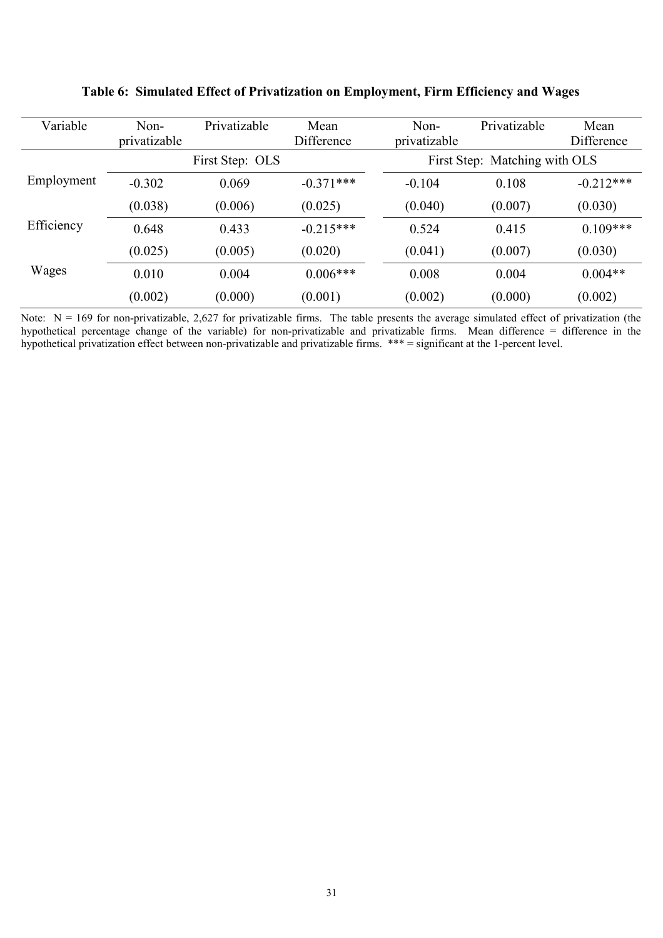| Variable   | Non-<br>privatizable | Privatizable    | Mean<br>Difference | Non-<br>privatizable | Privatizable                  | Mean<br>Difference |
|------------|----------------------|-----------------|--------------------|----------------------|-------------------------------|--------------------|
|            |                      | First Step: OLS |                    |                      | First Step: Matching with OLS |                    |
| Employment | $-0.302$             | 0.069           | $-0.371***$        | $-0.104$             | 0.108                         | $-0.212***$        |
|            | (0.038)              | (0.006)         | (0.025)            | (0.040)              | (0.007)                       | (0.030)            |
| Efficiency | 0.648                | 0.433           | $-0.215***$        | 0.524                | 0.415                         | $0.109***$         |
|            | (0.025)              | (0.005)         | (0.020)            | (0.041)              | (0.007)                       | (0.030)            |
| Wages      | 0.010                | 0.004           | $0.006***$         | 0.008                | 0.004                         | $0.004**$          |
|            | (0.002)              | (0.000)         | (0.001)            | (0.002)              | (0.000)                       | (0.002)            |

Table 6: Simulated Effect of Privatization on Employment, Firm Efficiency and Wages

Note:  $N = 169$  for non-privatizable, 2,627 for privatizable firms. The table presents the average simulated effect of privatization (the hypothetical percentage change of the variable) for non-privatizable and privatizable firms. Mean difference = difference in the hypothetical privatization effect between non-privatizable and privatizable firms. \*\*\* = significant at the 1-percent level.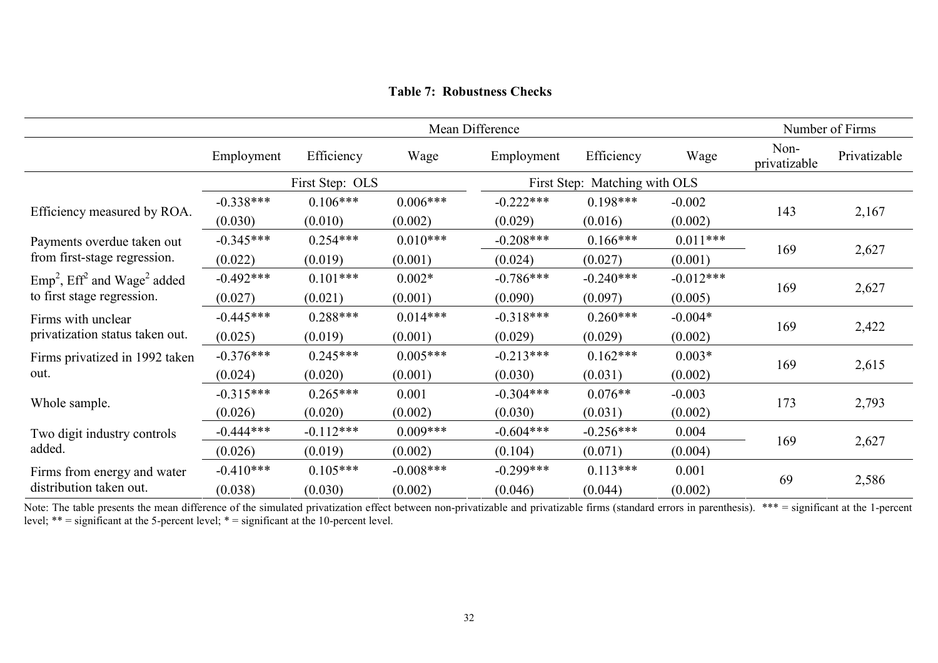|                                                       |             |                 |             | Mean Difference |                               |             |                      | Number of Firms |
|-------------------------------------------------------|-------------|-----------------|-------------|-----------------|-------------------------------|-------------|----------------------|-----------------|
|                                                       | Employment  | Efficiency      | Wage        | Employment      | Efficiency                    | Wage        | Non-<br>privatizable | Privatizable    |
|                                                       |             | First Step: OLS |             |                 | First Step: Matching with OLS |             |                      |                 |
|                                                       | $-0.338***$ | $0.106***$      | $0.006***$  | $-0.222***$     | $0.198***$                    | $-0.002$    |                      |                 |
| Efficiency measured by ROA.                           | (0.030)     | (0.010)         | (0.002)     | (0.029)         | (0.016)                       | (0.002)     | 143                  | 2,167           |
| Payments overdue taken out                            | $-0.345***$ | $0.254***$      | $0.010***$  | $-0.208***$     | $0.166***$                    | $0.011***$  |                      |                 |
| from first-stage regression.                          | (0.022)     | (0.019)         | (0.001)     | (0.024)         | (0.027)                       | (0.001)     | 169                  | 2,627           |
| $Emp2$ , Eff <sup>2</sup> and Wage <sup>2</sup> added | $-0.492***$ | $0.101***$      | $0.002*$    | $-0.786***$     | $-0.240***$                   | $-0.012***$ |                      |                 |
| to first stage regression.                            | (0.027)     | (0.021)         | (0.001)     | (0.090)         | (0.097)                       | (0.005)     | 169                  | 2,627           |
| Firms with unclear                                    | $-0.445***$ | $0.288***$      | $0.014***$  | $-0.318***$     | $0.260***$                    | $-0.004*$   |                      |                 |
| privatization status taken out.                       | (0.025)     | (0.019)         | (0.001)     | (0.029)         | (0.029)                       | (0.002)     | 169                  | 2,422           |
| Firms privatized in 1992 taken                        | $-0.376***$ | $0.245***$      | $0.005***$  | $-0.213***$     | $0.162***$                    | $0.003*$    |                      |                 |
| out.                                                  | (0.024)     | (0.020)         | (0.001)     | (0.030)         | (0.031)                       | (0.002)     | 169                  | 2,615           |
|                                                       | $-0.315***$ | $0.265***$      | 0.001       | $-0.304***$     | $0.076**$                     | $-0.003$    |                      |                 |
| Whole sample.                                         | (0.026)     | (0.020)         | (0.002)     | (0.030)         | (0.031)                       | (0.002)     | 173                  | 2,793           |
| Two digit industry controls                           | $-0.444***$ | $-0.112***$     | $0.009***$  | $-0.604***$     | $-0.256***$                   | 0.004       |                      |                 |
| added.                                                | (0.026)     | (0.019)         | (0.002)     | (0.104)         | (0.071)                       | (0.004)     | 169                  | 2,627           |
| Firms from energy and water                           | $-0.410***$ | $0.105***$      | $-0.008***$ | $-0.299***$     | $0.113***$                    | 0.001       |                      |                 |
| distribution taken out.                               | (0.038)     | (0.030)         | (0.002)     | (0.046)         | (0.044)                       | (0.002)     | 69                   | 2,586           |

Table 7: Robustness Checks

Note: The table presents the mean difference of the simulated privatization effect between non-privatizable and privatizable firms (standard errors in parenthesis). \*\*\* = significant at the 1-percent level; \*\* = significan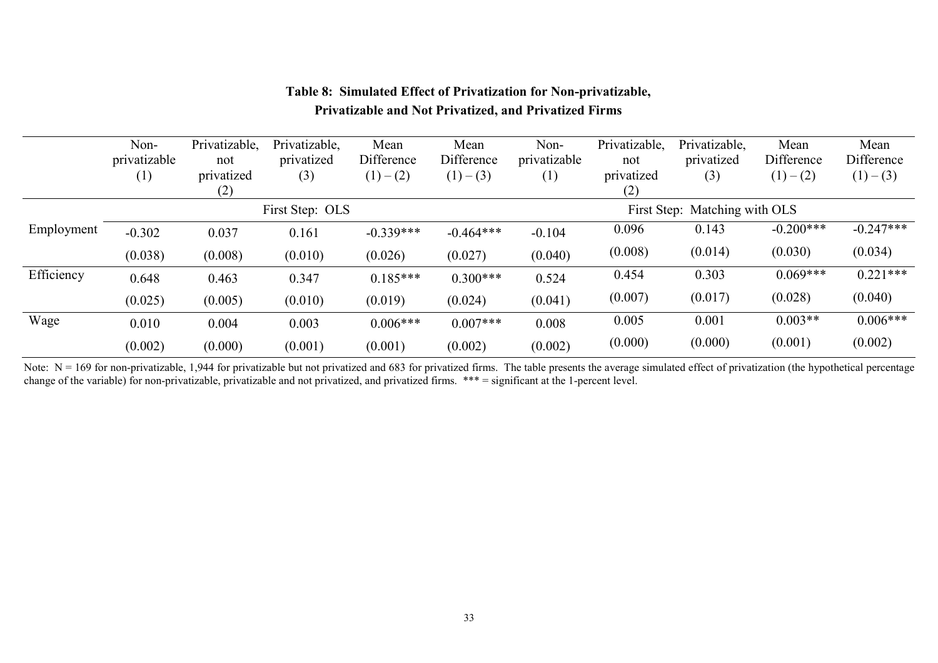|            | Non-<br>privatizable<br>$\left(1\right)$ | Privatizable,<br>not<br>privatized<br>(2) | Privatizable,<br>privatized<br>(3) | Mean<br>Difference<br>$(1) - (2)$ | Mean<br>Difference<br>$(1) - (3)$ | Non-<br>privatizable<br>$\left( 1\right)$ | Privatizable,<br>not<br>privatized<br>(2) | Privatizable,<br>privatized<br>(3) | Mean<br>Difference<br>$(1) - (2)$ | Mean<br>Difference<br>$(1) - (3)$ |
|------------|------------------------------------------|-------------------------------------------|------------------------------------|-----------------------------------|-----------------------------------|-------------------------------------------|-------------------------------------------|------------------------------------|-----------------------------------|-----------------------------------|
|            |                                          |                                           | First Step: OLS                    |                                   |                                   |                                           |                                           | First Step: Matching with OLS      |                                   |                                   |
| Employment | $-0.302$                                 | 0.037                                     | 0.161                              | $-0.339***$                       | $-0.464***$                       | $-0.104$                                  | 0.096                                     | 0.143                              | $-0.200***$                       | $-0.247***$                       |
|            | (0.038)                                  | (0.008)                                   | (0.010)                            | (0.026)                           | (0.027)                           | (0.040)                                   | (0.008)                                   | (0.014)                            | (0.030)                           | (0.034)                           |
| Efficiency | 0.648                                    | 0.463                                     | 0.347                              | $0.185***$                        | $0.300***$                        | 0.524                                     | 0.454                                     | 0.303                              | $0.069***$                        | $0.221***$                        |
|            | (0.025)                                  | (0.005)                                   | (0.010)                            | (0.019)                           | (0.024)                           | (0.041)                                   | (0.007)                                   | (0.017)                            | (0.028)                           | (0.040)                           |
| Wage       | 0.010                                    | 0.004                                     | 0.003                              | $0.006***$                        | $0.007***$                        | 0.008                                     | 0.005                                     | 0.001                              | $0.003**$                         | $0.006***$                        |
|            | (0.002)                                  | (0.000)                                   | (0.001)                            | (0.001)                           | (0.002)                           | (0.002)                                   | (0.000)                                   | (0.000)                            | (0.001)                           | (0.002)                           |

# Table 8: Simulated Effect of Privatization for Non-privatizable, Privatizable and Not Privatized, and Privatized Firms

Note: N = 169 for non-privatizable, 1,944 for privatizable but not privatized and 683 for privatized firms. The table presents the average simulated effect of privatization (the hypothetical percentage change of the variab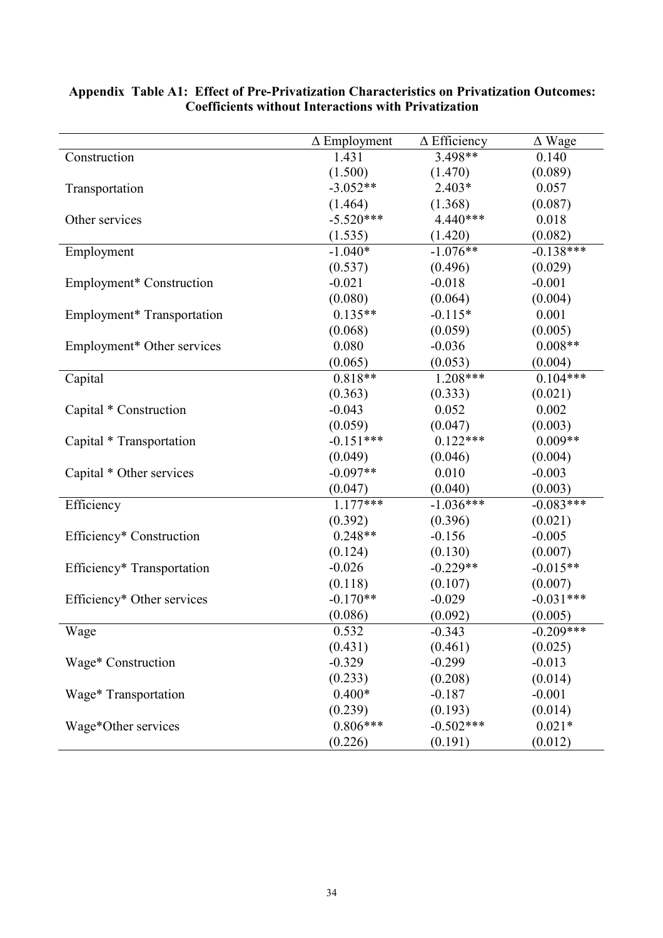|                            | $\Delta$ Employment | $\Delta$ Efficiency | $\Delta$ Wage |
|----------------------------|---------------------|---------------------|---------------|
| Construction               | 1.431               | 3.498**             | 0.140         |
|                            | (1.500)             | (1.470)             | (0.089)       |
| Transportation             | $-3.052**$          | $2.403*$            | 0.057         |
|                            | (1.464)             | (1.368)             | (0.087)       |
| Other services             | $-5.520***$         | 4.440***            | 0.018         |
|                            | (1.535)             | (1.420)             | (0.082)       |
| Employment                 | $-1.040*$           | $-1.076**$          | $-0.138***$   |
|                            | (0.537)             | (0.496)             | (0.029)       |
| Employment* Construction   | $-0.021$            | $-0.018$            | $-0.001$      |
|                            | (0.080)             | (0.064)             | (0.004)       |
| Employment* Transportation | $0.135**$           | $-0.115*$           | 0.001         |
|                            | (0.068)             | (0.059)             | (0.005)       |
| Employment* Other services | 0.080               | $-0.036$            | $0.008**$     |
|                            | (0.065)             | (0.053)             | (0.004)       |
| Capital                    | $0.818**$           | $1.208***$          | $0.104***$    |
|                            | (0.363)             | (0.333)             | (0.021)       |
| Capital * Construction     | $-0.043$            | 0.052               | 0.002         |
|                            | (0.059)             | (0.047)             | (0.003)       |
| Capital * Transportation   | $-0.151***$         | $0.122***$          | $0.009**$     |
|                            | (0.049)             | (0.046)             | (0.004)       |
| Capital * Other services   | $-0.097**$          | 0.010               | $-0.003$      |
|                            | (0.047)             | (0.040)             | (0.003)       |
| Efficiency                 | $1.177***$          | $-1.036***$         | $-0.083***$   |
|                            | (0.392)             | (0.396)             | (0.021)       |
| Efficiency* Construction   | $0.248**$           | $-0.156$            | $-0.005$      |
|                            | (0.124)             | (0.130)             | (0.007)       |
| Efficiency* Transportation | $-0.026$            | $-0.229**$          | $-0.015**$    |
|                            | (0.118)             | (0.107)             | (0.007)       |
| Efficiency* Other services | $-0.170**$          | $-0.029$            | $-0.031***$   |
|                            | (0.086)             | (0.092)             | (0.005)       |
| Wage                       | 0.532               | $-0.343$            | $-0.209***$   |
|                            | (0.431)             | (0.461)             | (0.025)       |
| Wage* Construction         | $-0.329$            | $-0.299$            | $-0.013$      |
|                            | (0.233)             | (0.208)             | (0.014)       |
| Wage* Transportation       | $0.400*$            | $-0.187$            | $-0.001$      |
|                            | (0.239)             | (0.193)             | (0.014)       |
| Wage*Other services        | $0.806***$          | $-0.502***$         | $0.021*$      |
|                            | (0.226)             | (0.191)             | (0.012)       |

## Appendix Table A1: Effect of Pre-Privatization Characteristics on Privatization Outcomes: Coefficients without Interactions with Privatization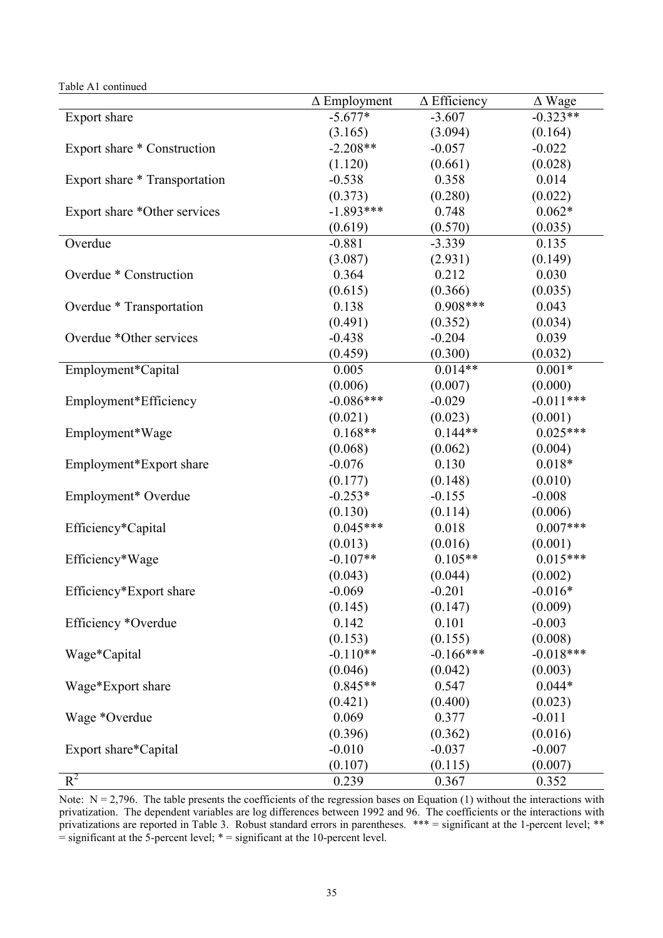| Table A1 continued            |                     |                     |               |
|-------------------------------|---------------------|---------------------|---------------|
|                               | $\Delta$ Employment | $\Delta$ Efficiency | $\Delta$ Wage |
| Export share                  | $-5.677*$           | $-3.607$            | $-0.323**$    |
|                               | (3.165)             | (3.094)             | (0.164)       |
| Export share * Construction   | $-2.208**$          | $-0.057$            | $-0.022$      |
|                               | (1.120)             | (0.661)             | (0.028)       |
| Export share * Transportation | $-0.538$            | 0.358               | 0.014         |
|                               | (0.373)             | (0.280)             | (0.022)       |
| Export share *Other services  | $-1.893***$         | 0.748               | $0.062*$      |
|                               | (0.619)             | (0.570)             | (0.035)       |
| Overdue                       | $-0.881$            | $-3.339$            | 0.135         |
|                               | (3.087)             | (2.931)             | (0.149)       |
| Overdue * Construction        | 0.364               | 0.212               | 0.030         |
|                               | (0.615)             | (0.366)             | (0.035)       |
| Overdue * Transportation      | 0.138               | $0.908***$          | 0.043         |
|                               | (0.491)             | (0.352)             | (0.034)       |
| Overdue *Other services       | $-0.438$            | $-0.204$            | 0.039         |
|                               | (0.459)             | (0.300)             | (0.032)       |
| Employment*Capital            | 0.005               | $0.014**$           | $0.001*$      |
|                               | (0.006)             | (0.007)             | (0.000)       |
| Employment*Efficiency         | $-0.086***$         | $-0.029$            | $-0.011***$   |
|                               | (0.021)             | (0.023)             | (0.001)       |
| Employment*Wage               | $0.168**$           | $0.144**$           | $0.025***$    |
|                               | (0.068)             | (0.062)             | (0.004)       |
| Employment*Export share       | $-0.076$            | 0.130               | $0.018*$      |
|                               | (0.177)             | (0.148)             | (0.010)       |
| Employment* Overdue           | $-0.253*$           | $-0.155$            | $-0.008$      |
|                               | (0.130)             | (0.114)             | (0.006)       |
| Efficiency*Capital            | $0.045***$          | 0.018               | $0.007***$    |
|                               | (0.013)             | (0.016)             | (0.001)       |
| Efficiency*Wage               | $-0.107**$          | $0.105**$           | $0.015***$    |
|                               | (0.043)             | (0.044)             | (0.002)       |
| Efficiency*Export share       | $-0.069$            | $-0.201$            | $-0.016*$     |
|                               | (0.145)             | (0.147)             | (0.009)       |
| Efficiency *Overdue           | 0.142               | 0.101               | $-0.003$      |
|                               | (0.153)             | (0.155)             | (0.008)       |
| Wage*Capital                  | $-0.110**$          | $-0.166***$         | $-0.018***$   |
|                               | (0.046)             | (0.042)             | (0.003)       |
| Wage*Export share             | $0.845**$           | 0.547               | $0.044*$      |
|                               | (0.421)             | (0.400)             | (0.023)       |
| Wage *Overdue                 | 0.069               | 0.377               | $-0.011$      |
|                               | (0.396)             | (0.362)             | (0.016)       |
| Export share*Capital          | $-0.010$            | $-0.037$            | $-0.007$      |
|                               | (0.107)             | (0.115)             | (0.007)       |
| $R^2$                         | 0.239               | 0.367               | 0.352         |

Note:  $N = 2,796$ . The table presents the coefficients of the regression bases on Equation (1) without the interactions with privatization. The dependent variables are log differences between 1992 and 96. The coefficients or the interactions with privatizations are reported in Table 3. Robust standard errors in parentheses. \*\*\* = significant at the 1-percent level; \*\* = significant at the 5-percent level; \* = significant at the 10-percent level.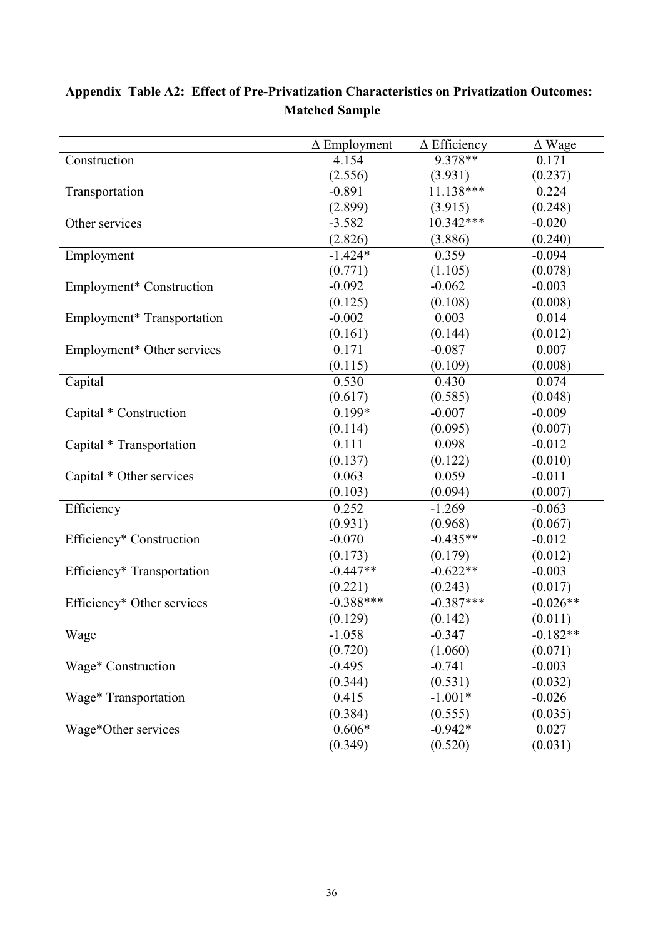|                                  | $\Delta$ Efficiency<br>$\Delta$ Employment |             | $\Delta$ Wage |
|----------------------------------|--------------------------------------------|-------------|---------------|
| Construction                     | 4.154                                      | 9.378**     | 0.171         |
|                                  | (2.556)                                    | (3.931)     | (0.237)       |
| Transportation                   | $-0.891$                                   | 11.138***   | 0.224         |
|                                  | (2.899)                                    | (3.915)     | (0.248)       |
| Other services                   | $-3.582$                                   | 10.342***   | $-0.020$      |
|                                  | (2.826)                                    | (3.886)     | (0.240)       |
| Employment                       | $-1.424*$                                  | 0.359       | $-0.094$      |
|                                  | (0.771)                                    | (1.105)     | (0.078)       |
| Employment* Construction         | $-0.092$                                   | $-0.062$    | $-0.003$      |
|                                  | (0.125)                                    | (0.108)     | (0.008)       |
| Employment* Transportation       | $-0.002$                                   | 0.003       | 0.014         |
|                                  | (0.161)                                    | (0.144)     | (0.012)       |
| Employment* Other services       | 0.171                                      | $-0.087$    | 0.007         |
|                                  | (0.115)                                    | (0.109)     | (0.008)       |
| Capital                          | 0.530                                      | 0.430       | 0.074         |
|                                  | (0.617)                                    | (0.585)     | (0.048)       |
| Capital * Construction           | 0.199*                                     | $-0.007$    | $-0.009$      |
|                                  | (0.114)                                    | (0.095)     | (0.007)       |
| Capital * Transportation         | 0.111                                      | 0.098       | $-0.012$      |
|                                  | (0.137)                                    | (0.122)     | (0.010)       |
| Capital * Other services         | 0.063                                      | 0.059       | $-0.011$      |
|                                  | (0.103)                                    | (0.094)     | (0.007)       |
| Efficiency                       | 0.252                                      | $-1.269$    | $-0.063$      |
|                                  | (0.931)                                    | (0.968)     | (0.067)       |
| Efficiency* Construction         | $-0.070$                                   | $-0.435**$  | $-0.012$      |
|                                  | (0.173)                                    | (0.179)     | (0.012)       |
| Efficiency* Transportation       | $-0.447**$                                 | $-0.622**$  | $-0.003$      |
|                                  | (0.221)                                    | (0.243)     | (0.017)       |
| Efficiency* Other services       | $-0.388***$                                | $-0.387***$ | $-0.026**$    |
|                                  | (0.129)                                    | (0.142)     | (0.011)       |
| Wage                             | $-1.058$                                   | $-0.347$    | $-0.182**$    |
|                                  | (0.720)                                    | (1.060)     | (0.071)       |
| Wage* Construction               | $-0.495$                                   | $-0.741$    | $-0.003$      |
|                                  | (0.344)                                    | (0.531)     | (0.032)       |
| Wage <sup>*</sup> Transportation | 0.415                                      | $-1.001*$   | $-0.026$      |
|                                  | (0.384)                                    | (0.555)     | (0.035)       |
| Wage*Other services              | $0.606*$                                   | $-0.942*$   | 0.027         |
|                                  | (0.349)                                    | (0.520)     | (0.031)       |

# Appendix Table A2: Effect of Pre-Privatization Characteristics on Privatization Outcomes: Matched Sample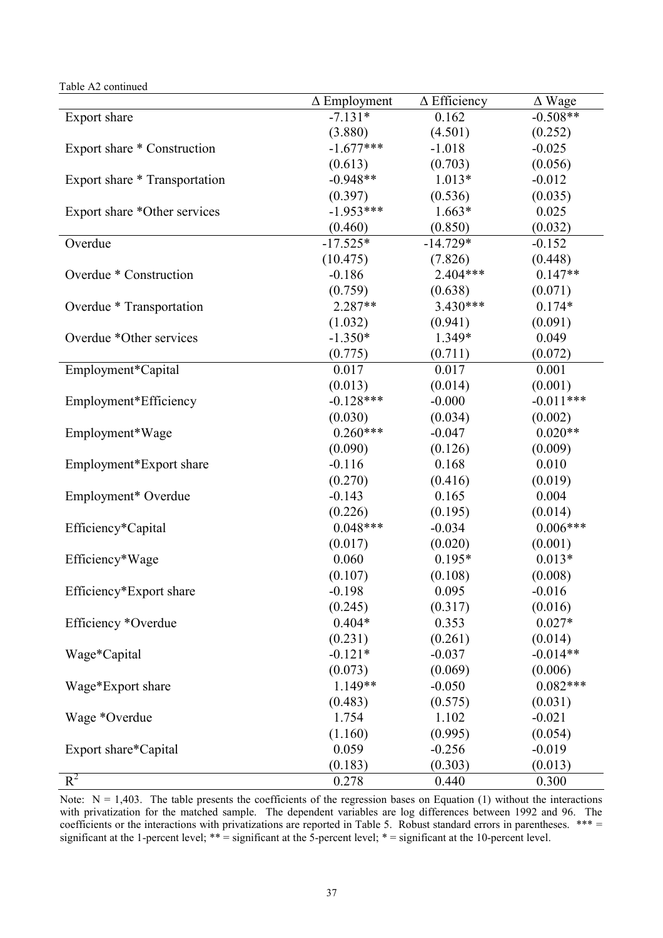| Table A2 continued |  |
|--------------------|--|
|--------------------|--|

|                               | $\Delta$ Employment | $\Delta$ Efficiency | $\Delta$ Wage |
|-------------------------------|---------------------|---------------------|---------------|
| Export share                  | $-7.131*$           | 0.162               | $-0.508**$    |
|                               | (3.880)             | (4.501)             | (0.252)       |
| Export share * Construction   | $-1.677***$         | $-1.018$            | $-0.025$      |
|                               | (0.613)             | (0.703)             | (0.056)       |
| Export share * Transportation | $-0.948**$          | $1.013*$            | $-0.012$      |
|                               | (0.397)             | (0.536)             | (0.035)       |
| Export share *Other services  | $-1.953***$         | $1.663*$            | 0.025         |
|                               | (0.460)             | (0.850)             | (0.032)       |
| Overdue                       | $-17.525*$          | $-14.729*$          | $-0.152$      |
|                               | (10.475)            | (7.826)             | (0.448)       |
| Overdue * Construction        | $-0.186$            | 2.404***            | $0.147**$     |
|                               | (0.759)             | (0.638)             | (0.071)       |
| Overdue * Transportation      | 2.287**             | $3.430***$          | $0.174*$      |
|                               | (1.032)             | (0.941)             | (0.091)       |
| Overdue *Other services       | $-1.350*$           | 1.349*              | 0.049         |
|                               | (0.775)             | (0.711)             | (0.072)       |
| Employment*Capital            | 0.017               | 0.017               | 0.001         |
|                               | (0.013)             | (0.014)             | (0.001)       |
| Employment*Efficiency         | $-0.128***$         | $-0.000$            | $-0.011***$   |
|                               | (0.030)             | (0.034)             | (0.002)       |
| Employment*Wage               | $0.260***$          | $-0.047$            | $0.020**$     |
|                               | (0.090)             | (0.126)             | (0.009)       |
| Employment*Export share       | $-0.116$            | 0.168               | 0.010         |
|                               | (0.270)             | (0.416)             | (0.019)       |
| Employment* Overdue           | $-0.143$            | 0.165               | 0.004         |
|                               | (0.226)             | (0.195)             | (0.014)       |
| Efficiency*Capital            | $0.048***$          | $-0.034$            | $0.006***$    |
|                               | (0.017)             | (0.020)             | (0.001)       |
| Efficiency*Wage               | 0.060               | $0.195*$            | $0.013*$      |
|                               | (0.107)             | (0.108)             | (0.008)       |
| Efficiency*Export share       | $-0.198$            | 0.095               | $-0.016$      |
|                               | (0.245)             | (0.317)             | (0.016)       |
| Efficiency *Overdue           | $0.404*$            | 0.353               | $0.027*$      |
|                               | (0.231)             | (0.261)             | (0.014)       |
| Wage*Capital                  | $-0.121*$           | $-0.037$            | $-0.014**$    |
|                               | (0.073)             | (0.069)             | (0.006)       |
| Wage*Export share             | 1.149**             | $-0.050$            | $0.082***$    |
|                               | (0.483)             | (0.575)             | (0.031)       |
| Wage *Overdue                 | 1.754               | 1.102               | $-0.021$      |
|                               | (1.160)             | (0.995)             | (0.054)       |
| Export share*Capital          | 0.059               | $-0.256$            | $-0.019$      |
|                               | (0.183)             | (0.303)             | (0.013)       |
| $R^2$                         | 0.278               | 0.440               | 0.300         |

Note:  $N = 1,403$ . The table presents the coefficients of the regression bases on Equation (1) without the interactions with privatization for the matched sample. The dependent variables are log differences between 1992 and 96. The coefficients or the interactions with privatizations are reported in Table 5. Robust standard errors in parentheses. \*\*\* = significant at the 1-percent level; \*\* = significant at the 5-percent level; \* = significant at the 10-percent level.